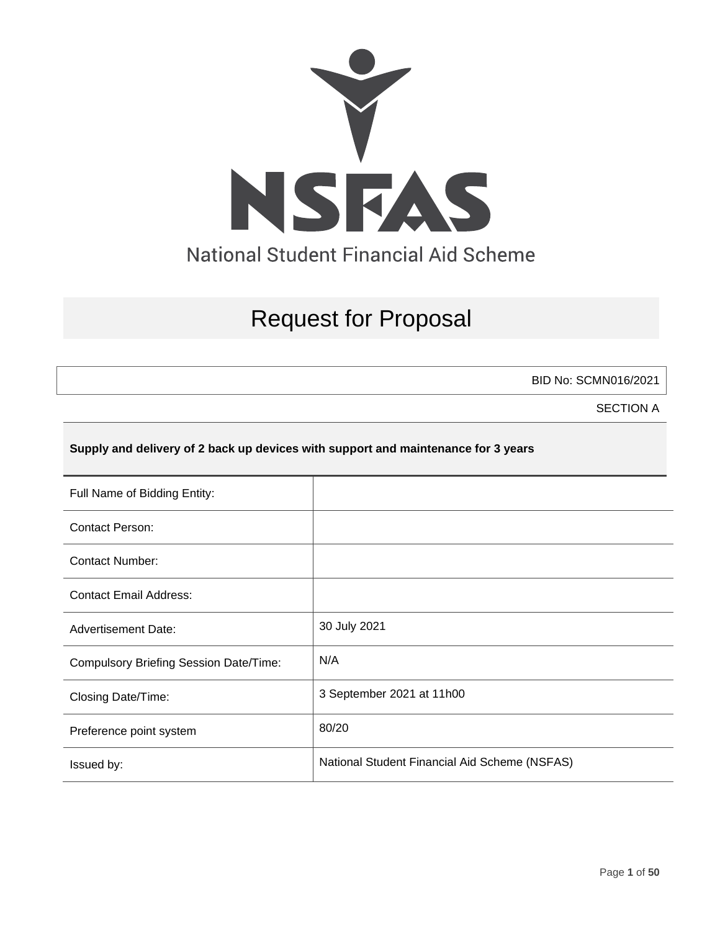

# Request for Proposal

BID No: SCMN016/2021

SECTION A

### **Supply and delivery of 2 back up devices with support and maintenance for 3 years**

| Full Name of Bidding Entity:                  |                                               |
|-----------------------------------------------|-----------------------------------------------|
| <b>Contact Person:</b>                        |                                               |
| <b>Contact Number:</b>                        |                                               |
| <b>Contact Email Address:</b>                 |                                               |
| <b>Advertisement Date:</b>                    | 30 July 2021                                  |
| <b>Compulsory Briefing Session Date/Time:</b> | N/A                                           |
| Closing Date/Time:                            | 3 September 2021 at 11h00                     |
| Preference point system                       | 80/20                                         |
| Issued by:                                    | National Student Financial Aid Scheme (NSFAS) |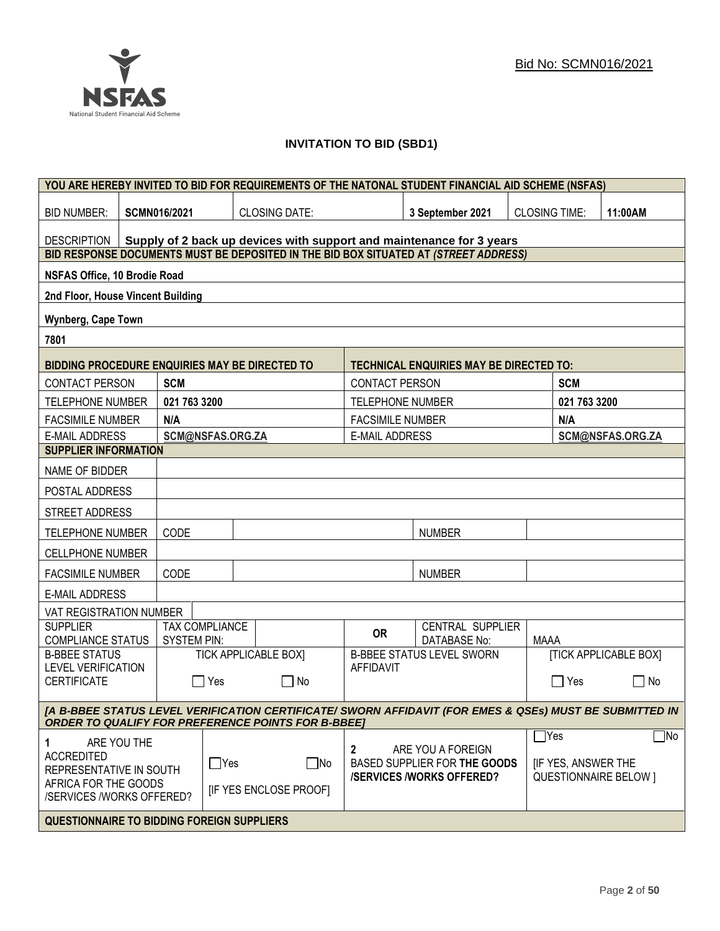### **INVITATION TO BID (SBD1)**

| YOU ARE HEREBY INVITED TO BID FOR REQUIREMENTS OF THE NATONAL STUDENT FINANCIAL AID SCHEME (NSFAS)                                                                   |                                                                      |                       |                             |                         |                                                |                      |                           |                              |
|----------------------------------------------------------------------------------------------------------------------------------------------------------------------|----------------------------------------------------------------------|-----------------------|-----------------------------|-------------------------|------------------------------------------------|----------------------|---------------------------|------------------------------|
| <b>BID NUMBER:</b>                                                                                                                                                   | <b>SCMN016/2021</b>                                                  |                       | <b>CLOSING DATE:</b>        |                         | 3 September 2021                               | <b>CLOSING TIME:</b> |                           | 11:00AM                      |
| DESCRIPTION                                                                                                                                                          | Supply of 2 back up devices with support and maintenance for 3 years |                       |                             |                         |                                                |                      |                           |                              |
| BID RESPONSE DOCUMENTS MUST BE DEPOSITED IN THE BID BOX SITUATED AT (STREET ADDRESS)                                                                                 |                                                                      |                       |                             |                         |                                                |                      |                           |                              |
| NSFAS Office, 10 Brodie Road                                                                                                                                         |                                                                      |                       |                             |                         |                                                |                      |                           |                              |
| 2nd Floor, House Vincent Building                                                                                                                                    |                                                                      |                       |                             |                         |                                                |                      |                           |                              |
| Wynberg, Cape Town                                                                                                                                                   |                                                                      |                       |                             |                         |                                                |                      |                           |                              |
| 7801                                                                                                                                                                 |                                                                      |                       |                             |                         |                                                |                      |                           |                              |
| <b>BIDDING PROCEDURE ENQUIRIES MAY BE DIRECTED TO</b>                                                                                                                |                                                                      |                       |                             |                         | <b>TECHNICAL ENQUIRIES MAY BE DIRECTED TO:</b> |                      |                           |                              |
| CONTACT PERSON                                                                                                                                                       | <b>SCM</b>                                                           |                       |                             | <b>CONTACT PERSON</b>   |                                                |                      | <b>SCM</b>                |                              |
| <b>TELEPHONE NUMBER</b>                                                                                                                                              | 021 763 3200                                                         |                       |                             | <b>TELEPHONE NUMBER</b> |                                                |                      | 021 763 3200              |                              |
| <b>FACSIMILE NUMBER</b>                                                                                                                                              | N/A                                                                  |                       |                             | <b>FACSIMILE NUMBER</b> |                                                |                      | N/A                       |                              |
| <b>E-MAIL ADDRESS</b>                                                                                                                                                |                                                                      | SCM@NSFAS.ORG.ZA      |                             | <b>E-MAIL ADDRESS</b>   |                                                |                      |                           | SCM@NSFAS.ORG.ZA             |
| <b>SUPPLIER INFORMATION</b>                                                                                                                                          |                                                                      |                       |                             |                         |                                                |                      |                           |                              |
| NAME OF BIDDER                                                                                                                                                       |                                                                      |                       |                             |                         |                                                |                      |                           |                              |
| POSTAL ADDRESS                                                                                                                                                       |                                                                      |                       |                             |                         |                                                |                      |                           |                              |
| STREET ADDRESS                                                                                                                                                       |                                                                      |                       |                             |                         |                                                |                      |                           |                              |
| <b>TELEPHONE NUMBER</b>                                                                                                                                              | CODE                                                                 |                       |                             |                         | <b>NUMBER</b>                                  |                      |                           |                              |
| <b>CELLPHONE NUMBER</b>                                                                                                                                              |                                                                      |                       |                             |                         |                                                |                      |                           |                              |
| <b>FACSIMILE NUMBER</b>                                                                                                                                              | CODE                                                                 |                       |                             | <b>NUMBER</b>           |                                                |                      |                           |                              |
| <b>E-MAIL ADDRESS</b>                                                                                                                                                |                                                                      |                       |                             |                         |                                                |                      |                           |                              |
| VAT REGISTRATION NUMBER                                                                                                                                              |                                                                      |                       |                             |                         |                                                |                      |                           |                              |
| <b>SUPPLIER</b><br><b>COMPLIANCE STATUS</b>                                                                                                                          | <b>SYSTEM PIN:</b>                                                   | <b>TAX COMPLIANCE</b> |                             | <b>OR</b>               | CENTRAL SUPPLIER<br><b>DATABASE No:</b>        | MAAA                 |                           |                              |
| <b>B-BBEE STATUS</b>                                                                                                                                                 |                                                                      |                       | <b>TICK APPLICABLE BOX]</b> |                         | <b>B-BBEE STATUS LEVEL SWORN</b>               |                      |                           | <b>[TICK APPLICABLE BOX]</b> |
| <b>LEVEL VERIFICATION</b><br><b>CERTIFICATE</b>                                                                                                                      |                                                                      | Yes                   | $\Box$ No                   | <b>AFFIDAVIT</b>        |                                                |                      | Yes                       | No<br>$\Box$                 |
|                                                                                                                                                                      |                                                                      |                       |                             |                         |                                                |                      |                           |                              |
| [A B-BBEE STATUS LEVEL VERIFICATION CERTIFICATE/ SWORN AFFIDAVIT (FOR EMES & QSEs) MUST BE SUBMITTED IN<br><b>ORDER TO QUALIFY FOR PREFERENCE POINTS FOR B-BBEET</b> |                                                                      |                       |                             |                         |                                                |                      |                           |                              |
| ARE YOU THE<br>1                                                                                                                                                     |                                                                      |                       |                             | 2                       | ARE YOU A FOREIGN                              |                      | $\exists$ Yes             | $\Box$ No                    |
| <b>ACCREDITED</b>                                                                                                                                                    |                                                                      | $\Box$ Yes            | $\square$ No                |                         | BASED SUPPLIER FOR THE GOODS                   |                      | <b>IF YES, ANSWER THE</b> |                              |
| REPRESENTATIVE IN SOUTH<br>AFRICA FOR THE GOODS                                                                                                                      |                                                                      |                       |                             |                         | <b>/SERVICES/WORKS OFFERED?</b>                |                      |                           | <b>QUESTIONNAIRE BELOW 1</b> |
| /SERVICES /WORKS OFFERED?                                                                                                                                            |                                                                      |                       | [IF YES ENCLOSE PROOF]      |                         |                                                |                      |                           |                              |
| <b>QUESTIONNAIRE TO BIDDING FOREIGN SUPPLIERS</b>                                                                                                                    |                                                                      |                       |                             |                         |                                                |                      |                           |                              |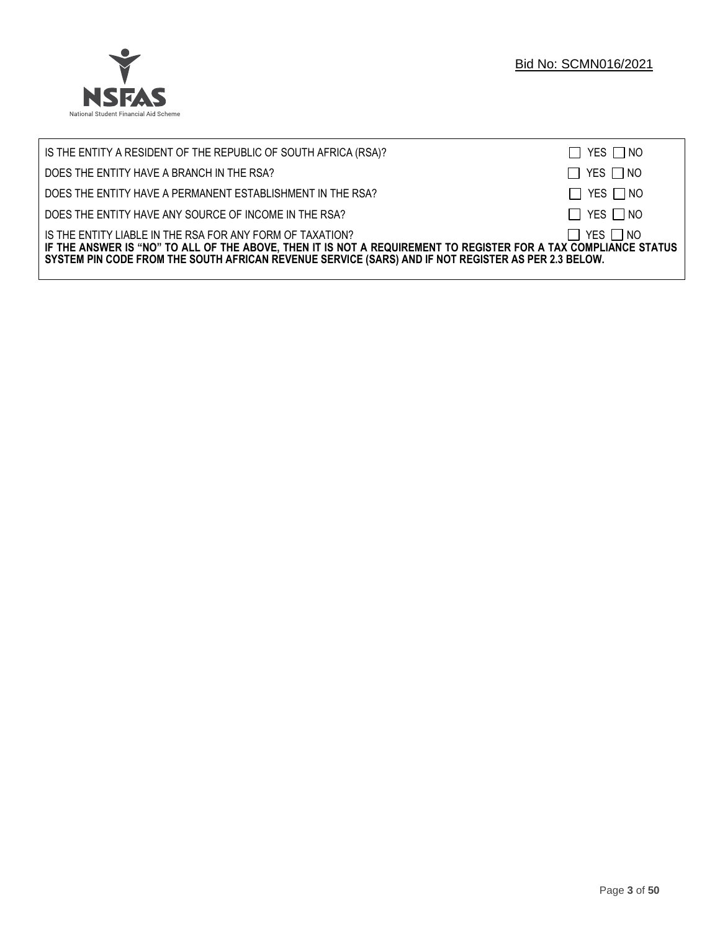

| IS THE ENTITY A RESIDENT OF THE REPUBLIC OF SOUTH AFRICA (RSA)?                                                                                                                                                                                                                     | $\Box$ YES $\Box$ NO |
|-------------------------------------------------------------------------------------------------------------------------------------------------------------------------------------------------------------------------------------------------------------------------------------|----------------------|
| DOES THE ENTITY HAVE A BRANCH IN THE RSA?                                                                                                                                                                                                                                           | $\Box$ YES $\Box$ NO |
| DOES THE ENTITY HAVE A PERMANENT ESTABLISHMENT IN THE RSA?                                                                                                                                                                                                                          | $\Box$ YES $\Box$ NO |
| DOES THE ENTITY HAVE ANY SOURCE OF INCOME IN THE RSA?                                                                                                                                                                                                                               | $\Box$ YES $\Box$ NO |
| IS THE ENTITY LIABLE IN THE RSA FOR ANY FORM OF TAXATION?<br>IF THE ANSWER IS "NO" TO ALL OF THE ABOVE, THEN IT IS NOT A REQUIREMENT TO REGISTER FOR A TAX COMPLIANCE STATUS<br>SYSTEM PIN CODE FROM THE SOUTH AFRICAN REVENUE SERVICE (SARS) AND IF NOT REGISTER AS PER 2.3 BELOW. | $\Box$ YES $\Box$ NO |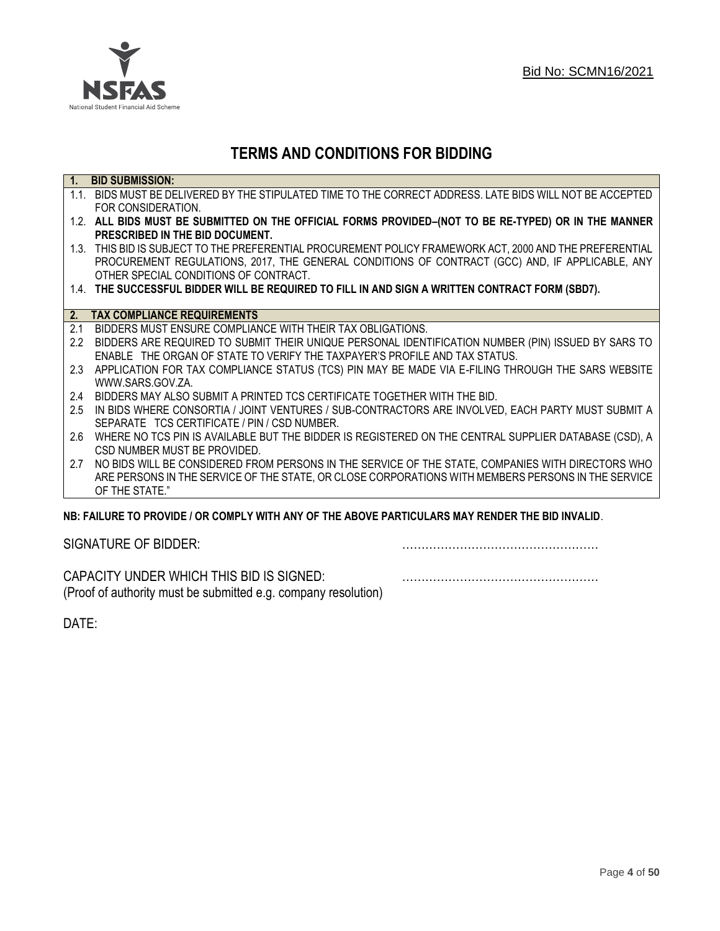

## **TERMS AND CONDITIONS FOR BIDDING**

| $\overline{1}$ . | <b>BID SUBMISSION:</b>                                                                                    |
|------------------|-----------------------------------------------------------------------------------------------------------|
|                  | 1.1. BIDS MUST BE DELIVERED BY THE STIPULATED TIME TO THE CORRECT ADDRESS. LATE BIDS WILL NOT BE ACCEPTED |
|                  | FOR CONSIDERATION.                                                                                        |
|                  | 1.2. ALL BIDS MUST BE SUBMITTED ON THE OFFICIAL FORMS PROVIDED-(NOT TO BE RE-TYPED) OR IN THE MANNER      |
|                  | PRESCRIBED IN THE BID DOCUMENT.                                                                           |
|                  | 1.3. THIS BID IS SUBJECT TO THE PREFERENTIAL PROCUREMENT POLICY FRAMEWORK ACT, 2000 AND THE PREFERENTIAL  |
|                  | PROCUREMENT REGULATIONS, 2017, THE GENERAL CONDITIONS OF CONTRACT (GCC) AND, IF APPLICABLE, ANY           |
|                  | OTHER SPECIAL CONDITIONS OF CONTRACT.                                                                     |
|                  | 1.4. THE SUCCESSFUL BIDDER WILL BE REQUIRED TO FILL IN AND SIGN A WRITTEN CONTRACT FORM (SBD7).           |
|                  |                                                                                                           |
|                  | 2. TAX COMPLIANCE REQUIREMENTS                                                                            |
| 2.1              | BIDDERS MUST ENSURE COMPLIANCE WITH THEIR TAX OBLIGATIONS.                                                |
| $2.2^{\circ}$    | BIDDERS ARE REQUIRED TO SUBMIT THEIR UNIQUE PERSONAL IDENTIFICATION NUMBER (PIN) ISSUED BY SARS TO        |
|                  | ENABLE THE ORGAN OF STATE TO VERIFY THE TAXPAYER'S PROFILE AND TAX STATUS.                                |
| 2.3              | APPLICATION FOR TAX COMPLIANCE STATUS (TCS) PIN MAY BE MADE VIA E-FILING THROUGH THE SARS WEBSITE         |
|                  | WWW.SARS.GOV.ZA.                                                                                          |
| 2.4              | BIDDERS MAY ALSO SUBMIT A PRINTED TCS CERTIFICATE TOGETHER WITH THE BID.                                  |
| 2.5              | IN BIDS WHERE CONSORTIA / JOINT VENTURES / SUB-CONTRACTORS ARE INVOLVED, EACH PARTY MUST SUBMIT A         |
|                  | SEPARATE TCS CERTIFICATE / PIN / CSD NUMBER.                                                              |
| 2.6              | WHERE NO TCS PIN IS AVAILABLE BUT THE BIDDER IS REGISTERED ON THE CENTRAL SUPPLIER DATABASE (CSD), A      |
|                  | CSD NUMBER MUST BE PROVIDED.                                                                              |
| 2.7              | NO BIDS WILL BE CONSIDERED FROM PERSONS IN THE SERVICE OF THE STATE, COMPANIES WITH DIRECTORS WHO         |
|                  | ARE PERSONS IN THE SERVICE OF THE STATE, OR CLOSE CORPORATIONS WITH MEMBERS PERSONS IN THE SERVICE        |
|                  | OF THE STATE."                                                                                            |
|                  | ND: EAII HDE TO DDOVINE I OD COMDI V WITH ANV OE THE ADOVE DADTICHI ADS MAV DENNED THE DIN INVALIN        |

### **NB: FAILURE TO PROVIDE / OR COMPLY WITH ANY OF THE ABOVE PARTICULARS MAY RENDER THE BID INVALID**.

|  | SIGNATURE OF BIDDER: |
|--|----------------------|
|--|----------------------|

SIGNATURE OF BIDDER: ……………………………………………

CAPACITY UNDER WHICH THIS BID IS SIGNED: …………………………………………… (Proof of authority must be submitted e.g. company resolution)

DATE: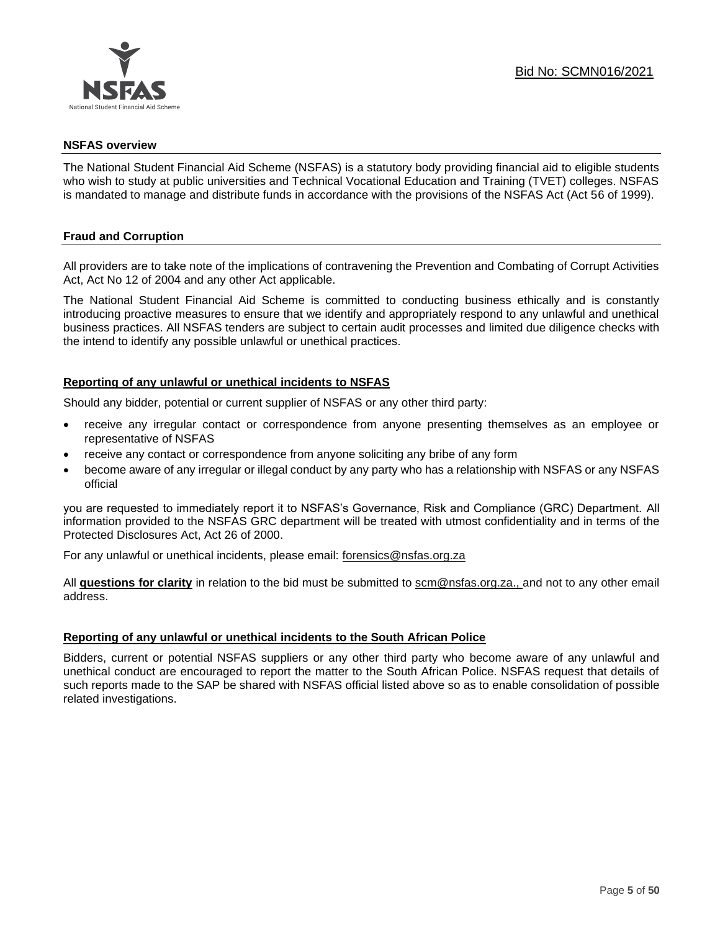

### **NSFAS overview**

The National Student Financial Aid Scheme (NSFAS) is a statutory body providing financial aid to eligible students who wish to study at public universities and Technical Vocational Education and Training (TVET) colleges. NSFAS is mandated to manage and distribute funds in accordance with the provisions of the NSFAS Act (Act 56 of 1999).

### **Fraud and Corruption**

All providers are to take note of the implications of contravening the Prevention and Combating of Corrupt Activities Act, Act No 12 of 2004 and any other Act applicable.

The National Student Financial Aid Scheme is committed to conducting business ethically and is constantly introducing proactive measures to ensure that we identify and appropriately respond to any unlawful and unethical business practices. All NSFAS tenders are subject to certain audit processes and limited due diligence checks with the intend to identify any possible unlawful or unethical practices.

### **Reporting of any unlawful or unethical incidents to NSFAS**

Should any bidder, potential or current supplier of NSFAS or any other third party:

- receive any irregular contact or correspondence from anyone presenting themselves as an employee or representative of NSFAS
- receive any contact or correspondence from anyone soliciting any bribe of any form
- become aware of any irregular or illegal conduct by any party who has a relationship with NSFAS or any NSFAS official

you are requested to immediately report it to NSFAS's Governance, Risk and Compliance (GRC) Department. All information provided to the NSFAS GRC department will be treated with utmost confidentiality and in terms of the Protected Disclosures Act, Act 26 of 2000.

For any unlawful or unethical incidents, please email: [forensics@nsfas.org.za](mailto:forensics@nsfas.org.za)

All **questions for clarity** in relation to the bid must be submitted to [scm@nsfas.org.za.](mailto:scm@nsfas.org.za), and not to any other email address.

### **Reporting of any unlawful or unethical incidents to the South African Police**

Bidders, current or potential NSFAS suppliers or any other third party who become aware of any unlawful and unethical conduct are encouraged to report the matter to the South African Police. NSFAS request that details of such reports made to the SAP be shared with NSFAS official listed above so as to enable consolidation of possible related investigations.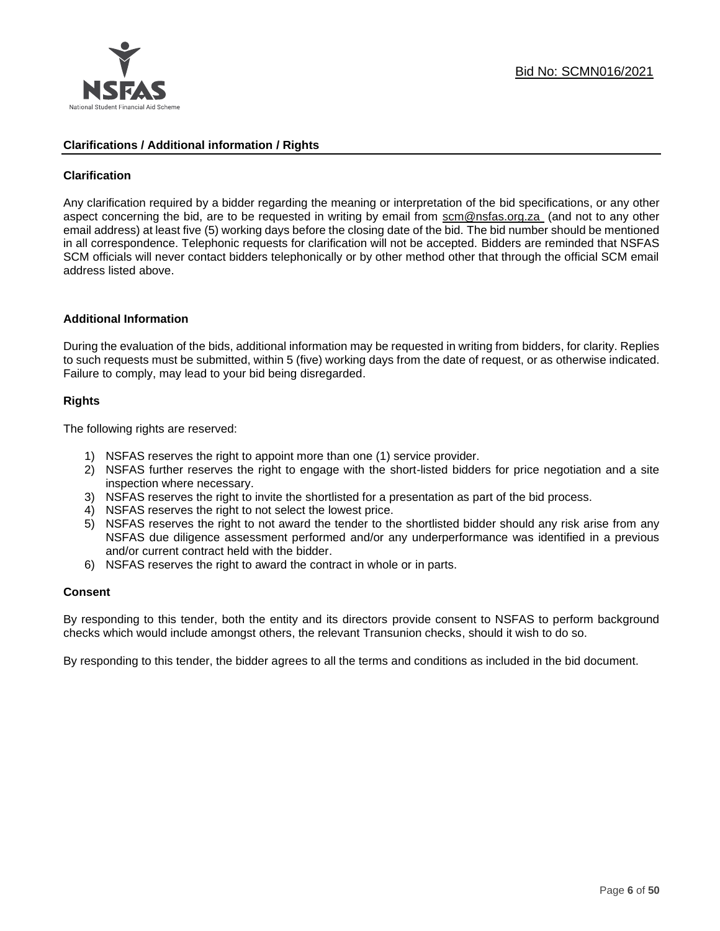

### **Clarifications / Additional information / Rights**

### **Clarification**

Any clarification required by a bidder regarding the meaning or interpretation of the bid specifications, or any other aspect concerning the bid, are to be requested in writing by email from [scm@nsfas.org.za](mailto:scm@nsfas.org.za) (and not to any other email address) at least five (5) working days before the closing date of the bid. The bid number should be mentioned in all correspondence. Telephonic requests for clarification will not be accepted. Bidders are reminded that NSFAS SCM officials will never contact bidders telephonically or by other method other that through the official SCM email address listed above.

### **Additional Information**

During the evaluation of the bids, additional information may be requested in writing from bidders, for clarity. Replies to such requests must be submitted, within 5 (five) working days from the date of request, or as otherwise indicated. Failure to comply, may lead to your bid being disregarded.

### **Rights**

The following rights are reserved:

- 1) NSFAS reserves the right to appoint more than one (1) service provider.
- 2) NSFAS further reserves the right to engage with the short-listed bidders for price negotiation and a site inspection where necessary.
- 3) NSFAS reserves the right to invite the shortlisted for a presentation as part of the bid process.
- 4) NSFAS reserves the right to not select the lowest price.
- 5) NSFAS reserves the right to not award the tender to the shortlisted bidder should any risk arise from any NSFAS due diligence assessment performed and/or any underperformance was identified in a previous and/or current contract held with the bidder.
- 6) NSFAS reserves the right to award the contract in whole or in parts.

### **Consent**

By responding to this tender, both the entity and its directors provide consent to NSFAS to perform background checks which would include amongst others, the relevant Transunion checks, should it wish to do so.

By responding to this tender, the bidder agrees to all the terms and conditions as included in the bid document.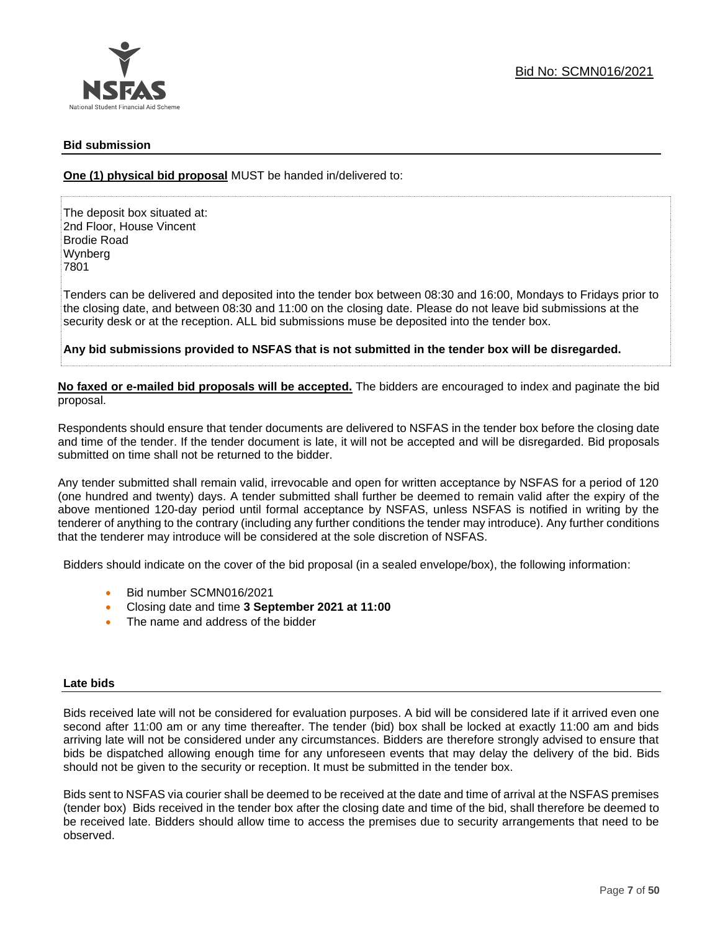

### **Bid submission**

**One (1) physical bid proposal** MUST be handed in/delivered to:

The deposit box situated at: 2nd Floor, House Vincent Brodie Road Wynberg 7801

Tenders can be delivered and deposited into the tender box between 08:30 and 16:00, Mondays to Fridays prior to the closing date, and between 08:30 and 11:00 on the closing date. Please do not leave bid submissions at the security desk or at the reception. ALL bid submissions muse be deposited into the tender box.

**Any bid submissions provided to NSFAS that is not submitted in the tender box will be disregarded.**

**No faxed or e-mailed bid proposals will be accepted.** The bidders are encouraged to index and paginate the bid proposal.

Respondents should ensure that tender documents are delivered to NSFAS in the tender box before the closing date and time of the tender. If the tender document is late, it will not be accepted and will be disregarded. Bid proposals submitted on time shall not be returned to the bidder.

Any tender submitted shall remain valid, irrevocable and open for written acceptance by NSFAS for a period of 120 (one hundred and twenty) days. A tender submitted shall further be deemed to remain valid after the expiry of the above mentioned 120-day period until formal acceptance by NSFAS, unless NSFAS is notified in writing by the tenderer of anything to the contrary (including any further conditions the tender may introduce). Any further conditions that the tenderer may introduce will be considered at the sole discretion of NSFAS.

Bidders should indicate on the cover of the bid proposal (in a sealed envelope/box), the following information:

- Bid number SCMN016/2021
- Closing date and time **3 September 2021 at 11:00**
- The name and address of the bidder

### **Late bids**

Bids received late will not be considered for evaluation purposes. A bid will be considered late if it arrived even one second after 11:00 am or any time thereafter. The tender (bid) box shall be locked at exactly 11:00 am and bids arriving late will not be considered under any circumstances. Bidders are therefore strongly advised to ensure that bids be dispatched allowing enough time for any unforeseen events that may delay the delivery of the bid. Bids should not be given to the security or reception. It must be submitted in the tender box.

Bids sent to NSFAS via courier shall be deemed to be received at the date and time of arrival at the NSFAS premises (tender box) Bids received in the tender box after the closing date and time of the bid, shall therefore be deemed to be received late. Bidders should allow time to access the premises due to security arrangements that need to be observed.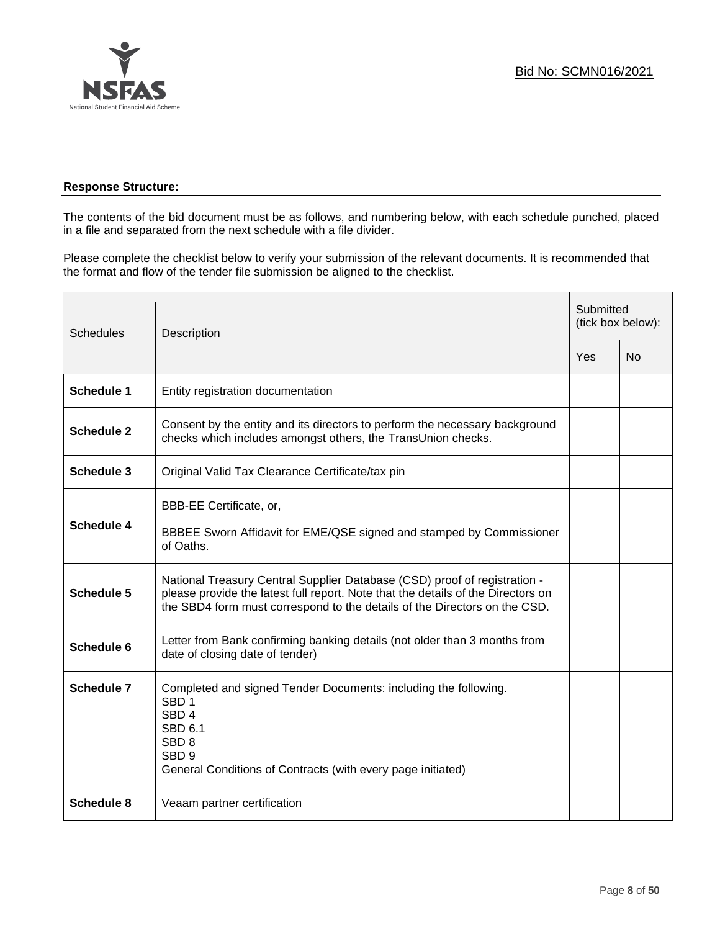

### **Response Structure:**

The contents of the bid document must be as follows, and numbering below, with each schedule punched, placed in a file and separated from the next schedule with a file divider.

Please complete the checklist below to verify your submission of the relevant documents. It is recommended that the format and flow of the tender file submission be aligned to the checklist.

| <b>Schedules</b>  | Description                                                                                                                                                                                                                                |  | Submitted<br>(tick box below): |  |
|-------------------|--------------------------------------------------------------------------------------------------------------------------------------------------------------------------------------------------------------------------------------------|--|--------------------------------|--|
|                   |                                                                                                                                                                                                                                            |  | N <sub>0</sub>                 |  |
| <b>Schedule 1</b> | Entity registration documentation                                                                                                                                                                                                          |  |                                |  |
| <b>Schedule 2</b> | Consent by the entity and its directors to perform the necessary background<br>checks which includes amongst others, the TransUnion checks.                                                                                                |  |                                |  |
| <b>Schedule 3</b> | Original Valid Tax Clearance Certificate/tax pin                                                                                                                                                                                           |  |                                |  |
| Schedule 4        | BBB-EE Certificate, or,<br>BBBEE Sworn Affidavit for EME/QSE signed and stamped by Commissioner<br>of Oaths.                                                                                                                               |  |                                |  |
| Schedule 5        | National Treasury Central Supplier Database (CSD) proof of registration -<br>please provide the latest full report. Note that the details of the Directors on<br>the SBD4 form must correspond to the details of the Directors on the CSD. |  |                                |  |
| Schedule 6        | Letter from Bank confirming banking details (not older than 3 months from<br>date of closing date of tender)                                                                                                                               |  |                                |  |
| <b>Schedule 7</b> | Completed and signed Tender Documents: including the following.<br>SBD <sub>1</sub><br>SBD <sub>4</sub><br><b>SBD 6.1</b><br>SBD <sub>8</sub><br>SBD <sub>9</sub><br>General Conditions of Contracts (with every page initiated)           |  |                                |  |
| Schedule 8        | Veaam partner certification                                                                                                                                                                                                                |  |                                |  |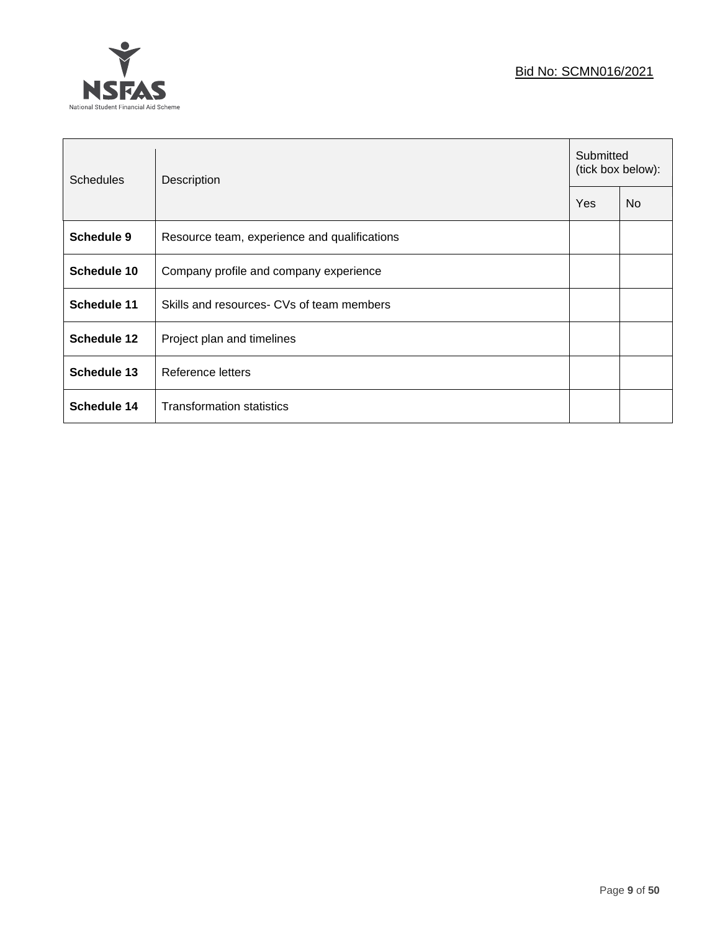### Bid No: SCMN016/2021



| <b>Schedules</b>   | Description                                  | Submitted<br>(tick box below): |           |
|--------------------|----------------------------------------------|--------------------------------|-----------|
|                    |                                              | Yes                            | <b>No</b> |
| <b>Schedule 9</b>  | Resource team, experience and qualifications |                                |           |
| Schedule 10        | Company profile and company experience       |                                |           |
| <b>Schedule 11</b> | Skills and resources- CVs of team members    |                                |           |
| Schedule 12        | Project plan and timelines                   |                                |           |
| <b>Schedule 13</b> | Reference letters                            |                                |           |
| <b>Schedule 14</b> | <b>Transformation statistics</b>             |                                |           |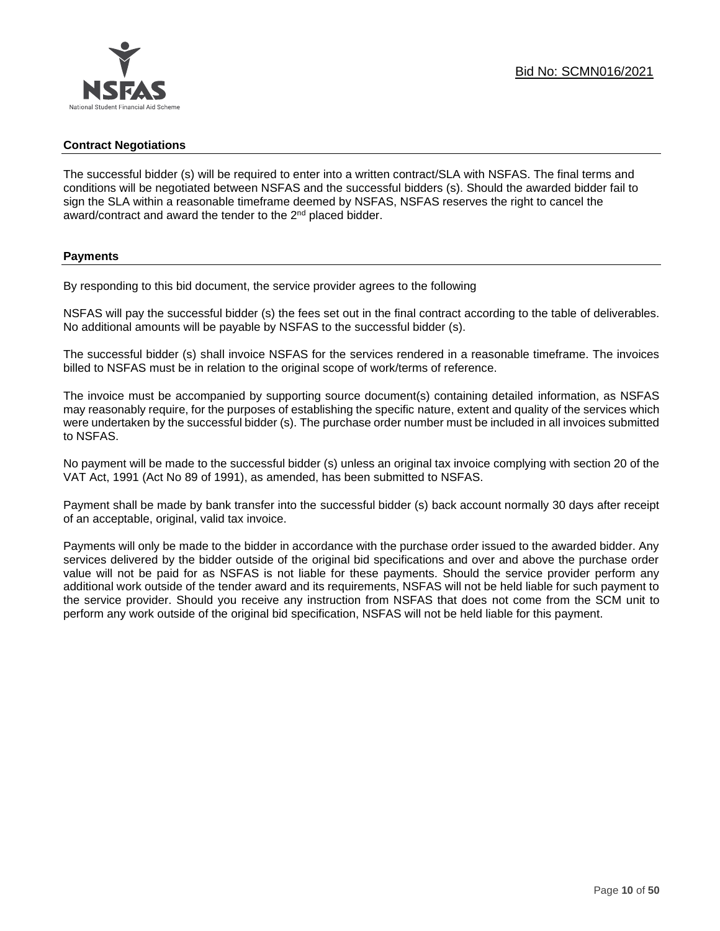### **Contract Negotiations**

The successful bidder (s) will be required to enter into a written contract/SLA with NSFAS. The final terms and conditions will be negotiated between NSFAS and the successful bidders (s). Should the awarded bidder fail to sign the SLA within a reasonable timeframe deemed by NSFAS, NSFAS reserves the right to cancel the award/contract and award the tender to the 2<sup>nd</sup> placed bidder.

### **Payments**

By responding to this bid document, the service provider agrees to the following

NSFAS will pay the successful bidder (s) the fees set out in the final contract according to the table of deliverables. No additional amounts will be payable by NSFAS to the successful bidder (s).

The successful bidder (s) shall invoice NSFAS for the services rendered in a reasonable timeframe. The invoices billed to NSFAS must be in relation to the original scope of work/terms of reference.

The invoice must be accompanied by supporting source document(s) containing detailed information, as NSFAS may reasonably require, for the purposes of establishing the specific nature, extent and quality of the services which were undertaken by the successful bidder (s). The purchase order number must be included in all invoices submitted to NSFAS.

No payment will be made to the successful bidder (s) unless an original tax invoice complying with section 20 of the VAT Act, 1991 (Act No 89 of 1991), as amended, has been submitted to NSFAS.

Payment shall be made by bank transfer into the successful bidder (s) back account normally 30 days after receipt of an acceptable, original, valid tax invoice.

Payments will only be made to the bidder in accordance with the purchase order issued to the awarded bidder. Any services delivered by the bidder outside of the original bid specifications and over and above the purchase order value will not be paid for as NSFAS is not liable for these payments. Should the service provider perform any additional work outside of the tender award and its requirements, NSFAS will not be held liable for such payment to the service provider. Should you receive any instruction from NSFAS that does not come from the SCM unit to perform any work outside of the original bid specification, NSFAS will not be held liable for this payment.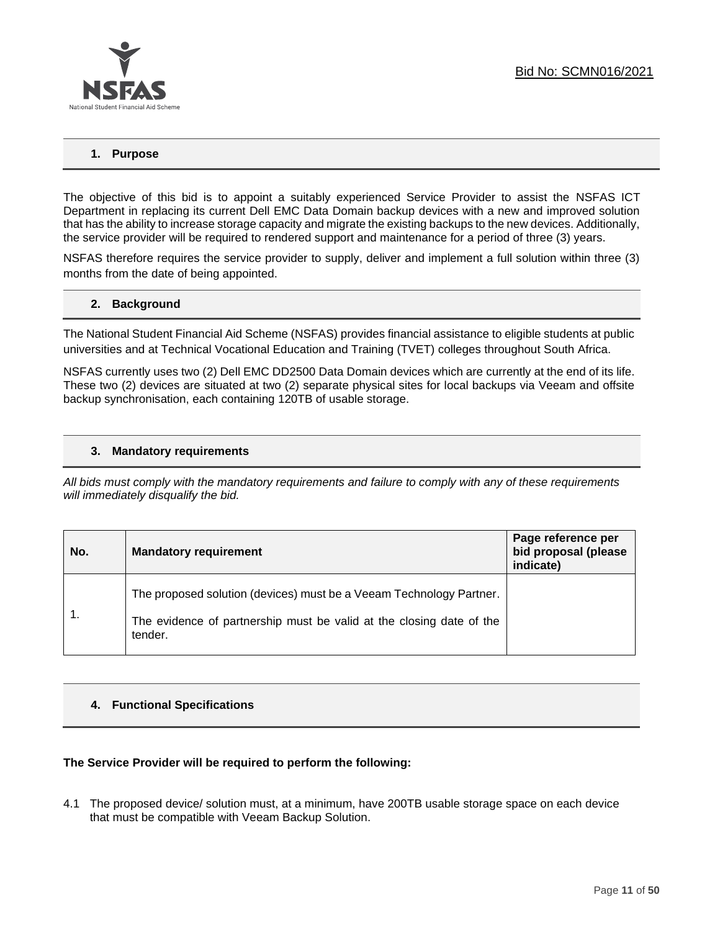

### **1. Purpose**

The objective of this bid is to appoint a suitably experienced Service Provider to assist the NSFAS ICT Department in replacing its current Dell EMC Data Domain backup devices with a new and improved solution that has the ability to increase storage capacity and migrate the existing backups to the new devices. Additionally, the service provider will be required to rendered support and maintenance for a period of three (3) years.

NSFAS therefore requires the service provider to supply, deliver and implement a full solution within three (3) months from the date of being appointed.

### **2. Background**

The National Student Financial Aid Scheme (NSFAS) provides financial assistance to eligible students at public universities and at Technical Vocational Education and Training (TVET) colleges throughout South Africa.

NSFAS currently uses two (2) Dell EMC DD2500 Data Domain devices which are currently at the end of its life. These two (2) devices are situated at two (2) separate physical sites for local backups via Veeam and offsite backup synchronisation, each containing 120TB of usable storage.

### **3. Mandatory requirements**

*All bids must comply with the mandatory requirements and failure to comply with any of these requirements will immediately disqualify the bid.*

| No. | <b>Mandatory requirement</b>                                                                                                                           | Page reference per<br>bid proposal (please<br>indicate) |
|-----|--------------------------------------------------------------------------------------------------------------------------------------------------------|---------------------------------------------------------|
|     | The proposed solution (devices) must be a Veeam Technology Partner.<br>The evidence of partnership must be valid at the closing date of the<br>tender. |                                                         |

### **4. Functional Specifications**

### **The Service Provider will be required to perform the following:**

4.1 The proposed device/ solution must, at a minimum, have 200TB usable storage space on each device that must be compatible with Veeam Backup Solution.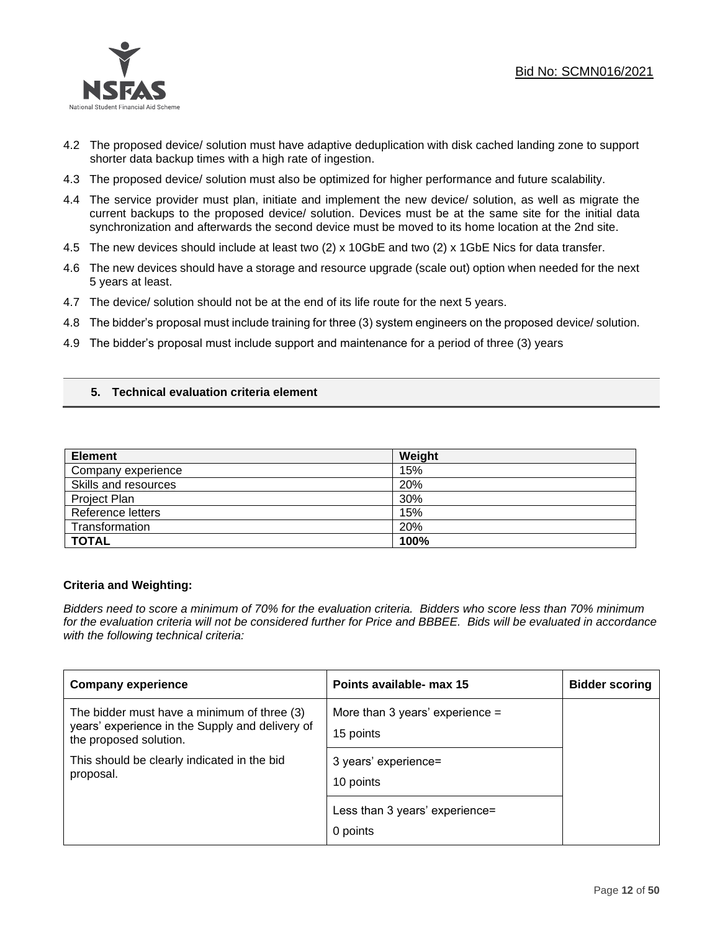

- 4.2 The proposed device/ solution must have adaptive deduplication with disk cached landing zone to support shorter data backup times with a high rate of ingestion.
- 4.3 The proposed device/ solution must also be optimized for higher performance and future scalability.
- 4.4 The service provider must plan, initiate and implement the new device/ solution, as well as migrate the current backups to the proposed device/ solution. Devices must be at the same site for the initial data synchronization and afterwards the second device must be moved to its home location at the 2nd site.
- 4.5 The new devices should include at least two (2) x 10GbE and two (2) x 1GbE Nics for data transfer.
- 4.6 The new devices should have a storage and resource upgrade (scale out) option when needed for the next 5 years at least.
- 4.7 The device/ solution should not be at the end of its life route for the next 5 years.
- 4.8 The bidder's proposal must include training for three (3) system engineers on the proposed device/ solution.
- 4.9 The bidder's proposal must include support and maintenance for a period of three (3) years

### **5. Technical evaluation criteria element**

| <b>Element</b>       | Weight |
|----------------------|--------|
| Company experience   | 15%    |
| Skills and resources | 20%    |
| Project Plan         | 30%    |
| Reference letters    | 15%    |
| Transformation       | 20%    |
| <b>TOTAL</b>         | 100%   |

### **Criteria and Weighting:**

*Bidders need to score a minimum of 70% for the evaluation criteria. Bidders who score less than 70% minimum for the evaluation criteria will not be considered further for Price and BBBEE. Bids will be evaluated in accordance with the following technical criteria:*

| <b>Company experience</b>                                                                                                | Points available- max 15                       | <b>Bidder scoring</b> |
|--------------------------------------------------------------------------------------------------------------------------|------------------------------------------------|-----------------------|
| The bidder must have a minimum of three (3)<br>years' experience in the Supply and delivery of<br>the proposed solution. | More than 3 years' experience $=$<br>15 points |                       |
| This should be clearly indicated in the bid<br>proposal.                                                                 | 3 years' experience=<br>10 points              |                       |
|                                                                                                                          | Less than 3 years' experience=<br>0 points     |                       |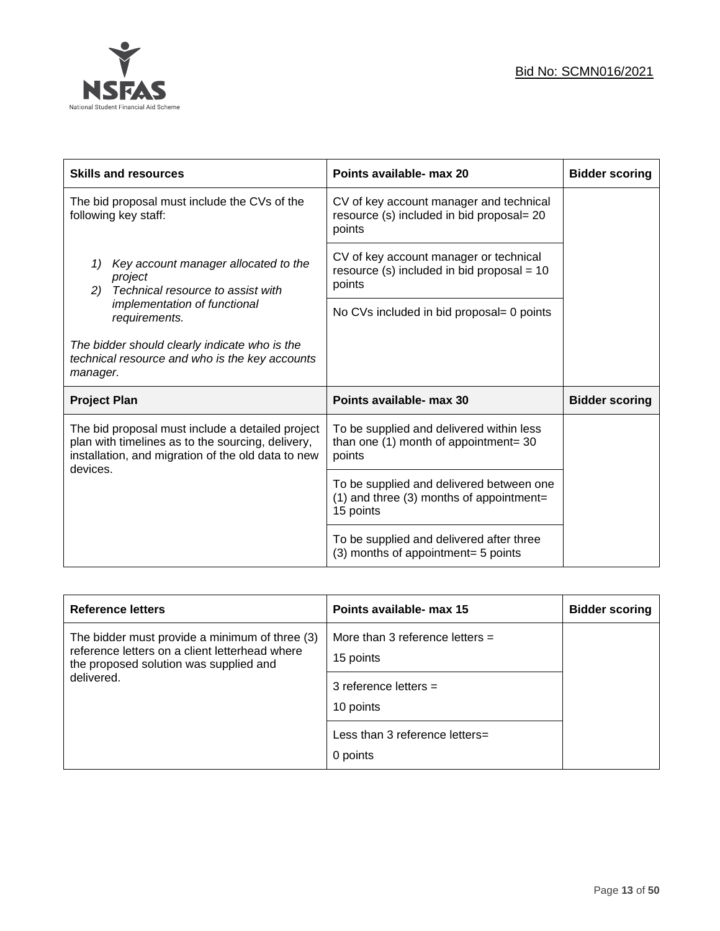

| <b>Skills and resources</b>                                                                                                                                             | Points available- max 20                                                                              | <b>Bidder scoring</b> |
|-------------------------------------------------------------------------------------------------------------------------------------------------------------------------|-------------------------------------------------------------------------------------------------------|-----------------------|
| The bid proposal must include the CVs of the<br>following key staff:                                                                                                    | CV of key account manager and technical<br>resource (s) included in bid proposal= 20<br>points        |                       |
| Key account manager allocated to the<br>1)<br>project<br>Technical resource to assist with<br>2)                                                                        | CV of key account manager or technical<br>resource (s) included in bid proposal = $10$<br>points      |                       |
| implementation of functional<br>requirements.                                                                                                                           | No CVs included in bid proposal= 0 points                                                             |                       |
| The bidder should clearly indicate who is the<br>technical resource and who is the key accounts<br>manager.                                                             |                                                                                                       |                       |
| <b>Project Plan</b>                                                                                                                                                     | Points available- max 30                                                                              | <b>Bidder scoring</b> |
| The bid proposal must include a detailed project<br>plan with timelines as to the sourcing, delivery,<br>installation, and migration of the old data to new<br>devices. | To be supplied and delivered within less<br>than one $(1)$ month of appointment= 30<br>points         |                       |
|                                                                                                                                                                         | To be supplied and delivered between one<br>$(1)$ and three $(3)$ months of appointment=<br>15 points |                       |
|                                                                                                                                                                         | To be supplied and delivered after three<br>(3) months of appointment= 5 points                       |                       |

| <b>Reference letters</b>                                                                                                                                 | Points available- max 15                                                               | <b>Bidder scoring</b> |
|----------------------------------------------------------------------------------------------------------------------------------------------------------|----------------------------------------------------------------------------------------|-----------------------|
| The bidder must provide a minimum of three (3)<br>reference letters on a client letterhead where<br>the proposed solution was supplied and<br>delivered. | More than 3 reference letters $=$<br>15 points<br>3 reference letters $=$<br>10 points |                       |
|                                                                                                                                                          | Less than 3 reference letters=<br>0 points                                             |                       |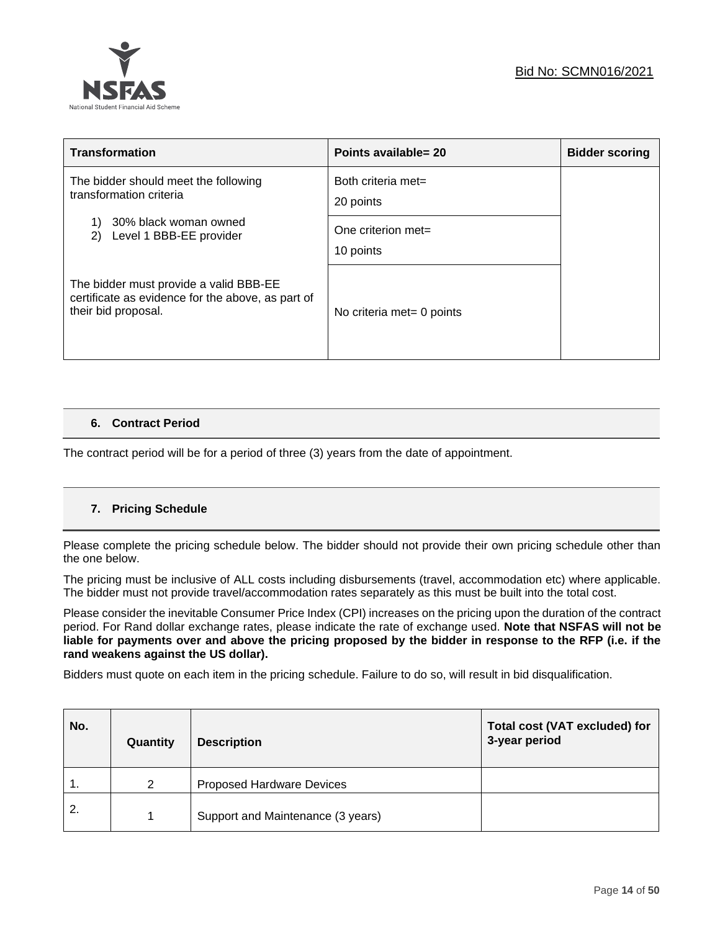

| <b>Transformation</b>                                                                                              | Points available= 20            | <b>Bidder scoring</b> |
|--------------------------------------------------------------------------------------------------------------------|---------------------------------|-----------------------|
| The bidder should meet the following<br>transformation criteria                                                    | Both criteria met=<br>20 points |                       |
| 30% black woman owned<br>Level 1 BBB-EE provider<br>2)                                                             | One criterion met=<br>10 points |                       |
| The bidder must provide a valid BBB-EE<br>certificate as evidence for the above, as part of<br>their bid proposal. | No criteria met= 0 points       |                       |

### **6. Contract Period**

The contract period will be for a period of three (3) years from the date of appointment.

### **7. Pricing Schedule**

Please complete the pricing schedule below. The bidder should not provide their own pricing schedule other than the one below.

The pricing must be inclusive of ALL costs including disbursements (travel, accommodation etc) where applicable. The bidder must not provide travel/accommodation rates separately as this must be built into the total cost.

Please consider the inevitable Consumer Price Index (CPI) increases on the pricing upon the duration of the contract period. For Rand dollar exchange rates, please indicate the rate of exchange used. **Note that NSFAS will not be liable for payments over and above the pricing proposed by the bidder in response to the RFP (i.e. if the rand weakens against the US dollar).**

Bidders must quote on each item in the pricing schedule. Failure to do so, will result in bid disqualification.

| No. | Quantity | <b>Description</b>                | <b>Total cost (VAT excluded) for</b><br>3-year period |
|-----|----------|-----------------------------------|-------------------------------------------------------|
| 1.  | 2        | <b>Proposed Hardware Devices</b>  |                                                       |
| 2.  |          | Support and Maintenance (3 years) |                                                       |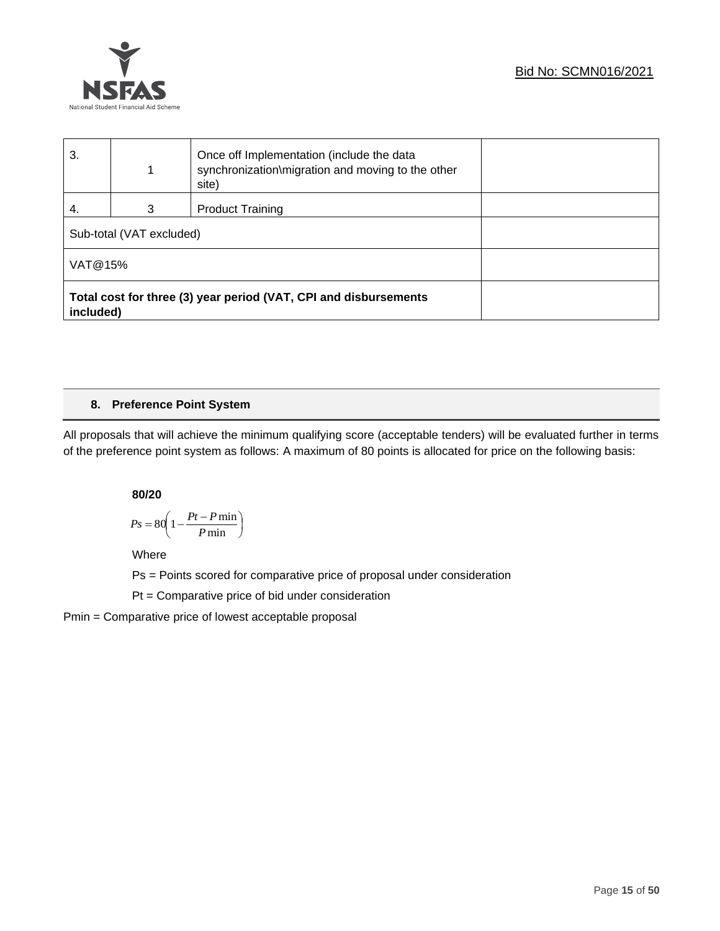

| 3.                                                                            |   | Once off Implementation (include the data<br>synchronization\migration and moving to the other<br>site) |  |
|-------------------------------------------------------------------------------|---|---------------------------------------------------------------------------------------------------------|--|
| 4.                                                                            | 3 | <b>Product Training</b>                                                                                 |  |
| Sub-total (VAT excluded)                                                      |   |                                                                                                         |  |
| VAT@15%                                                                       |   |                                                                                                         |  |
| Total cost for three (3) year period (VAT, CPI and disbursements<br>included) |   |                                                                                                         |  |

### **8. Preference Point System**

All proposals that will achieve the minimum qualifying score (acceptable tenders) will be evaluated further in terms of the preference point system as follows: A maximum of 80 points is allocated for price on the following basis:

**80/20**

$$
Ps = 80 \left( 1 - \frac{Pt - P \min}{P \min} \right)
$$

Where

Ps = Points scored for comparative price of proposal under consideration

Pt = Comparative price of bid under consideration

Pmin = Comparative price of lowest acceptable proposal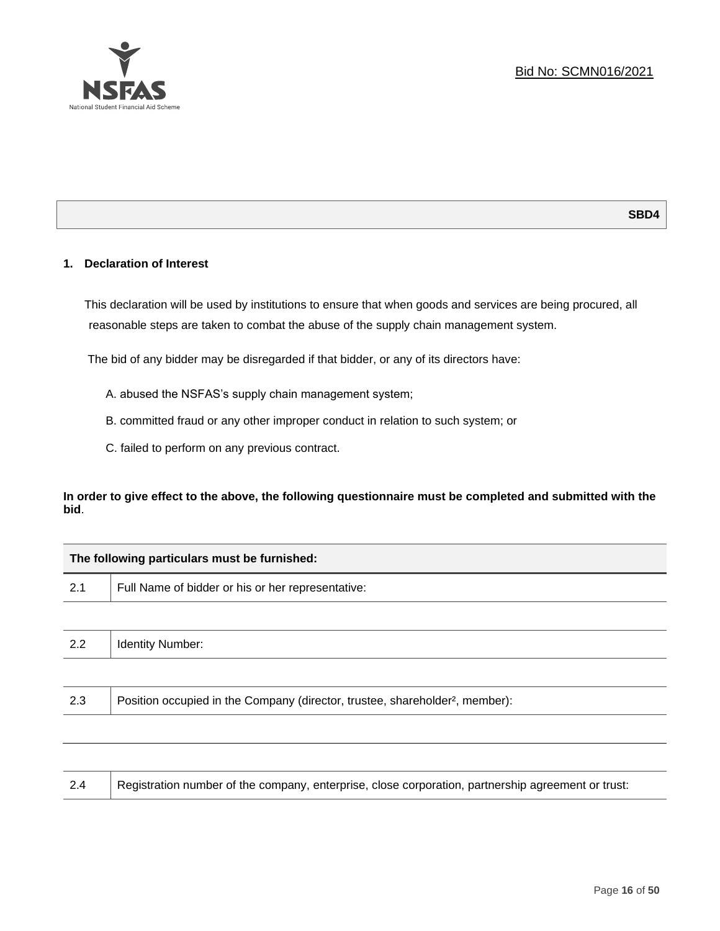

### **1. Declaration of Interest**

┑

This declaration will be used by institutions to ensure that when goods and services are being procured, all reasonable steps are taken to combat the abuse of the supply chain management system.

The bid of any bidder may be disregarded if that bidder, or any of its directors have:

- A. abused the NSFAS's supply chain management system;
- B. committed fraud or any other improper conduct in relation to such system; or
- C. failed to perform on any previous contract.

**In order to give effect to the above, the following questionnaire must be completed and submitted with the bid**.

| The following particulars must be furnished: |                                                                                          |  |  |
|----------------------------------------------|------------------------------------------------------------------------------------------|--|--|
| 2.1                                          | Full Name of bidder or his or her representative:                                        |  |  |
|                                              |                                                                                          |  |  |
| 2.2                                          | <b>Identity Number:</b>                                                                  |  |  |
|                                              |                                                                                          |  |  |
| 2.3                                          | Position occupied in the Company (director, trustee, shareholder <sup>2</sup> , member): |  |  |
|                                              |                                                                                          |  |  |
|                                              |                                                                                          |  |  |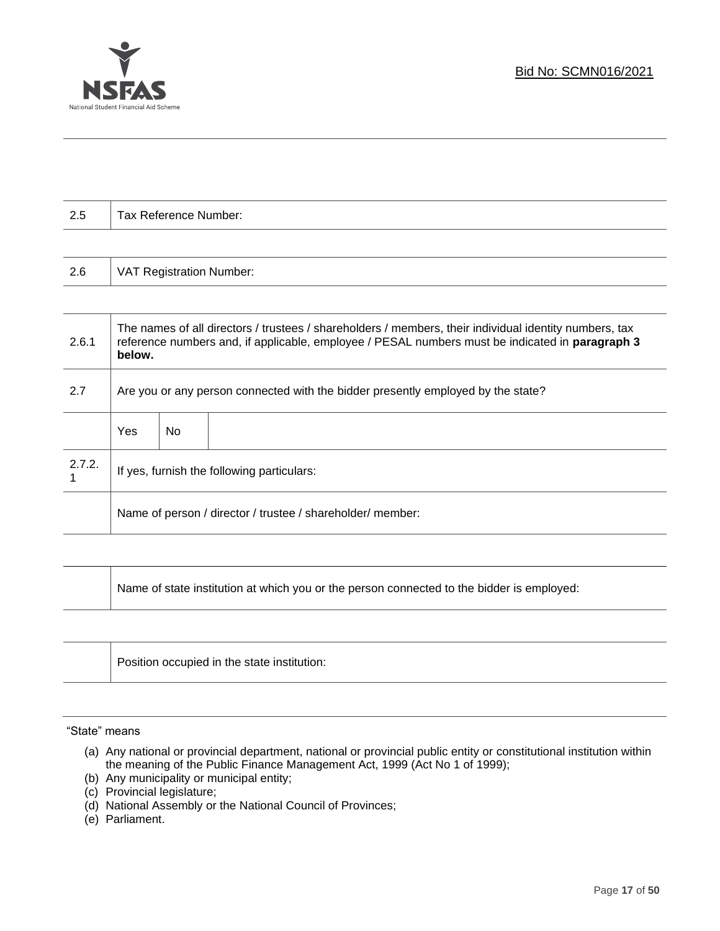



| 2.5    |                                                                                  | Tax Reference Number:           |                                                                                                                                                                                                           |
|--------|----------------------------------------------------------------------------------|---------------------------------|-----------------------------------------------------------------------------------------------------------------------------------------------------------------------------------------------------------|
|        |                                                                                  |                                 |                                                                                                                                                                                                           |
| 2.6    |                                                                                  | <b>VAT Registration Number:</b> |                                                                                                                                                                                                           |
|        |                                                                                  |                                 |                                                                                                                                                                                                           |
| 2.6.1  | below.                                                                           |                                 | The names of all directors / trustees / shareholders / members, their individual identity numbers, tax<br>reference numbers and, if applicable, employee / PESAL numbers must be indicated in paragraph 3 |
| 2.7    | Are you or any person connected with the bidder presently employed by the state? |                                 |                                                                                                                                                                                                           |
|        | Yes                                                                              | No                              |                                                                                                                                                                                                           |
| 2.7.2. | If yes, furnish the following particulars:                                       |                                 |                                                                                                                                                                                                           |
|        |                                                                                  |                                 | Name of person / director / trustee / shareholder/ member:                                                                                                                                                |

Name of state institution at which you or the person connected to the bidder is employed:

|  | Position occupied in the state institution: |
|--|---------------------------------------------|
|--|---------------------------------------------|

"State" means

- (a) Any national or provincial department, national or provincial public entity or constitutional institution within the meaning of the Public Finance Management Act, 1999 (Act No 1 of 1999);
- (b) Any municipality or municipal entity;
- (c) Provincial legislature;
- (d) National Assembly or the National Council of Provinces;
- (e) Parliament.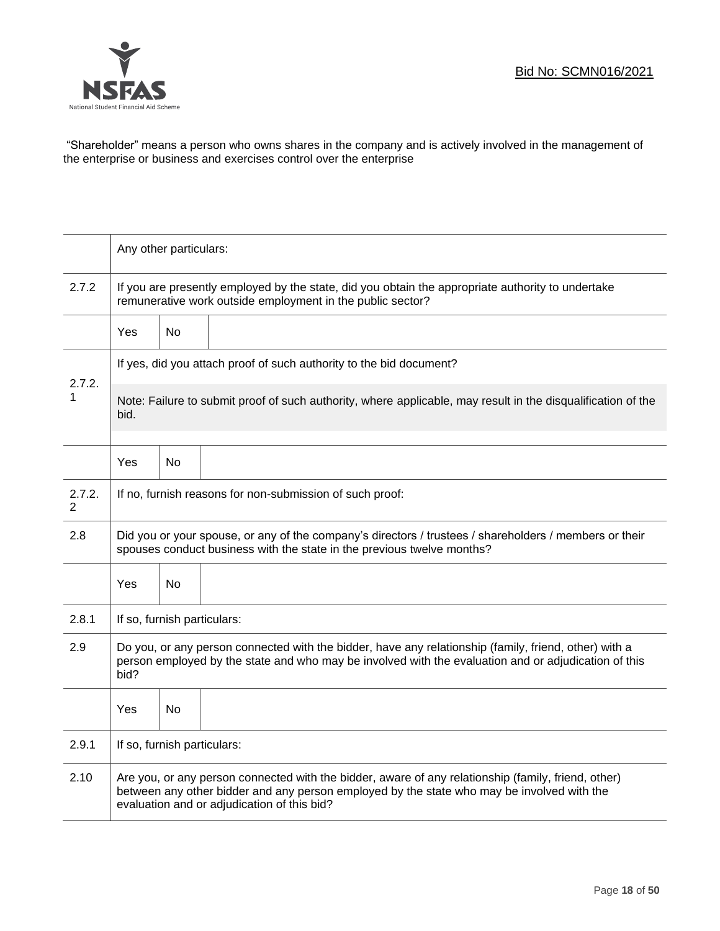

"Shareholder" means a person who owns shares in the company and is actively involved in the management of the enterprise or business and exercises control over the enterprise

|                          | Any other particulars:                                                                                                                                                                                                                           |                                                                                                              |                                                                     |  |  |
|--------------------------|--------------------------------------------------------------------------------------------------------------------------------------------------------------------------------------------------------------------------------------------------|--------------------------------------------------------------------------------------------------------------|---------------------------------------------------------------------|--|--|
| 2.7.2                    | If you are presently employed by the state, did you obtain the appropriate authority to undertake<br>remunerative work outside employment in the public sector?                                                                                  |                                                                                                              |                                                                     |  |  |
|                          | Yes                                                                                                                                                                                                                                              | <b>No</b>                                                                                                    |                                                                     |  |  |
|                          |                                                                                                                                                                                                                                                  |                                                                                                              | If yes, did you attach proof of such authority to the bid document? |  |  |
| 2.7.2.<br>1              | bid.                                                                                                                                                                                                                                             | Note: Failure to submit proof of such authority, where applicable, may result in the disqualification of the |                                                                     |  |  |
|                          | Yes                                                                                                                                                                                                                                              | No                                                                                                           |                                                                     |  |  |
| 2.7.2.<br>$\overline{2}$ | If no, furnish reasons for non-submission of such proof:                                                                                                                                                                                         |                                                                                                              |                                                                     |  |  |
| 2.8                      | Did you or your spouse, or any of the company's directors / trustees / shareholders / members or their<br>spouses conduct business with the state in the previous twelve months?                                                                 |                                                                                                              |                                                                     |  |  |
|                          | Yes                                                                                                                                                                                                                                              | No                                                                                                           |                                                                     |  |  |
| 2.8.1                    | If so, furnish particulars:                                                                                                                                                                                                                      |                                                                                                              |                                                                     |  |  |
| 2.9                      | Do you, or any person connected with the bidder, have any relationship (family, friend, other) with a<br>person employed by the state and who may be involved with the evaluation and or adjudication of this<br>bid?                            |                                                                                                              |                                                                     |  |  |
|                          | Yes                                                                                                                                                                                                                                              | <b>No</b>                                                                                                    |                                                                     |  |  |
| 2.9.1                    | If so, furnish particulars:                                                                                                                                                                                                                      |                                                                                                              |                                                                     |  |  |
| 2.10                     | Are you, or any person connected with the bidder, aware of any relationship (family, friend, other)<br>between any other bidder and any person employed by the state who may be involved with the<br>evaluation and or adjudication of this bid? |                                                                                                              |                                                                     |  |  |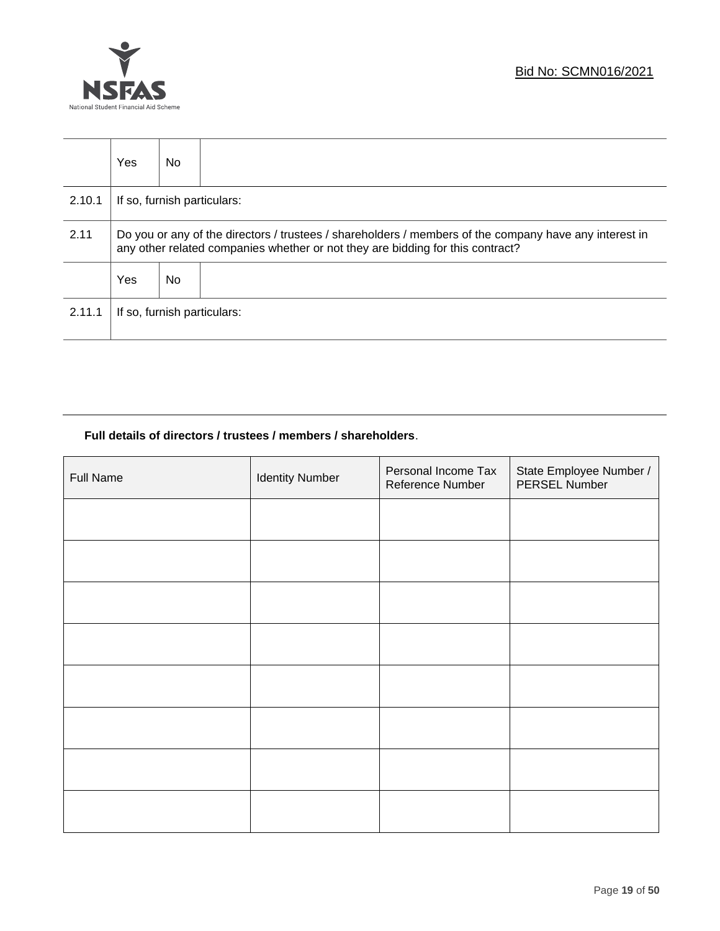



|        | <b>Yes</b>                                                                                                                                                                               | No. |                             |
|--------|------------------------------------------------------------------------------------------------------------------------------------------------------------------------------------------|-----|-----------------------------|
| 2.10.1 | If so, furnish particulars:                                                                                                                                                              |     |                             |
| 2.11   | Do you or any of the directors / trustees / shareholders / members of the company have any interest in<br>any other related companies whether or not they are bidding for this contract? |     |                             |
|        | Yes                                                                                                                                                                                      | No. |                             |
| 2.11.1 |                                                                                                                                                                                          |     | If so, furnish particulars: |

### **Full details of directors / trustees / members / shareholders**.

| Full Name | <b>Identity Number</b> | Personal Income Tax<br>Reference Number | State Employee Number /<br>PERSEL Number |
|-----------|------------------------|-----------------------------------------|------------------------------------------|
|           |                        |                                         |                                          |
|           |                        |                                         |                                          |
|           |                        |                                         |                                          |
|           |                        |                                         |                                          |
|           |                        |                                         |                                          |
|           |                        |                                         |                                          |
|           |                        |                                         |                                          |
|           |                        |                                         |                                          |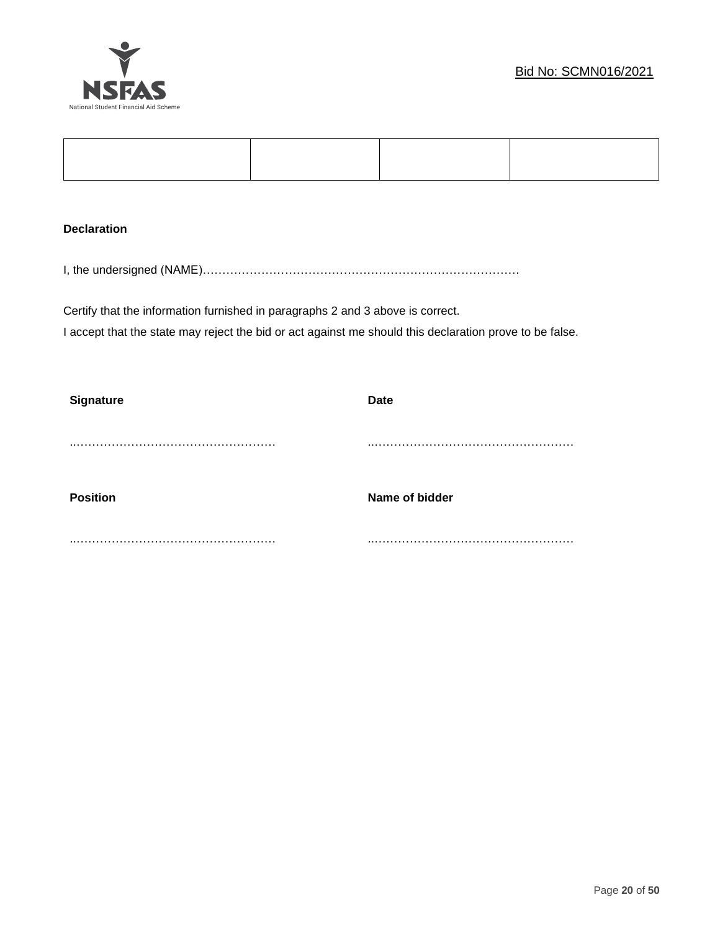

### **Declaration**

I, the undersigned (NAME)………………………………………………………………………

Certify that the information furnished in paragraphs 2 and 3 above is correct. I accept that the state may reject the bid or act against me should this declaration prove to be false.

| <b>Signature</b> | <b>Date</b>    |
|------------------|----------------|
|                  |                |
|                  |                |
|                  |                |
| <b>Position</b>  | Name of bidder |
|                  |                |
|                  |                |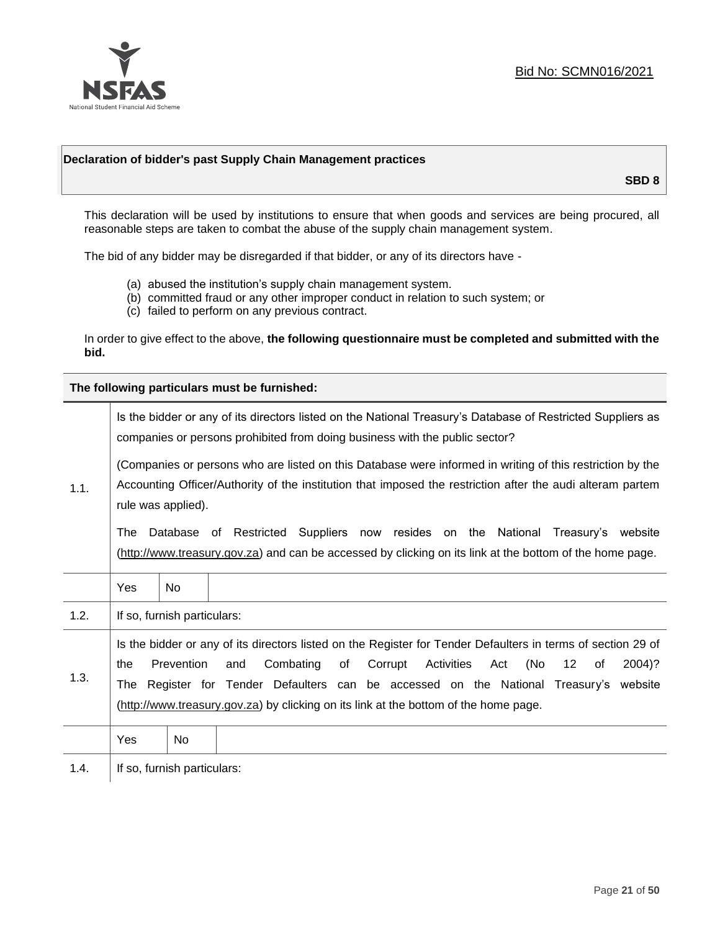

### **Declaration of bidder's past Supply Chain Management practices**

**SBD 8**

This declaration will be used by institutions to ensure that when goods and services are being procured, all reasonable steps are taken to combat the abuse of the supply chain management system.

The bid of any bidder may be disregarded if that bidder, or any of its directors have -

- (a) abused the institution's supply chain management system.
- (b) committed fraud or any other improper conduct in relation to such system; or
- (c) failed to perform on any previous contract.

In order to give effect to the above, **the following questionnaire must be completed and submitted with the bid.**

**The following particulars must be furnished:**

|      | Is the bidder or any of its directors listed on the National Treasury's Database of Restricted Suppliers as<br>companies or persons prohibited from doing business with the public sector?                                                                                                                                                                                                                   |                             |  |  |
|------|--------------------------------------------------------------------------------------------------------------------------------------------------------------------------------------------------------------------------------------------------------------------------------------------------------------------------------------------------------------------------------------------------------------|-----------------------------|--|--|
| 1.1. | (Companies or persons who are listed on this Database were informed in writing of this restriction by the<br>Accounting Officer/Authority of the institution that imposed the restriction after the audi alteram partem<br>rule was applied).                                                                                                                                                                |                             |  |  |
|      | Database of Restricted Suppliers now resides on the National<br>Treasury's website<br>The<br>(http://www.treasury.gov.za) and can be accessed by clicking on its link at the bottom of the home page.                                                                                                                                                                                                        |                             |  |  |
|      | Yes                                                                                                                                                                                                                                                                                                                                                                                                          | No.                         |  |  |
| 1.2. |                                                                                                                                                                                                                                                                                                                                                                                                              | If so, furnish particulars: |  |  |
| 1.3. | Is the bidder or any of its directors listed on the Register for Tender Defaulters in terms of section 29 of<br>Prevention<br>Combating<br>Corrupt<br>Activities<br>(No<br>12<br>and<br>of<br>Act<br>2004)?<br>the<br>of<br>Register for Tender Defaulters can be accessed on the National Treasury's website<br>The<br>(http://www.treasury.gov.za) by clicking on its link at the bottom of the home page. |                             |  |  |
|      | Yes                                                                                                                                                                                                                                                                                                                                                                                                          | No                          |  |  |
| 1.4. | If so, furnish particulars:                                                                                                                                                                                                                                                                                                                                                                                  |                             |  |  |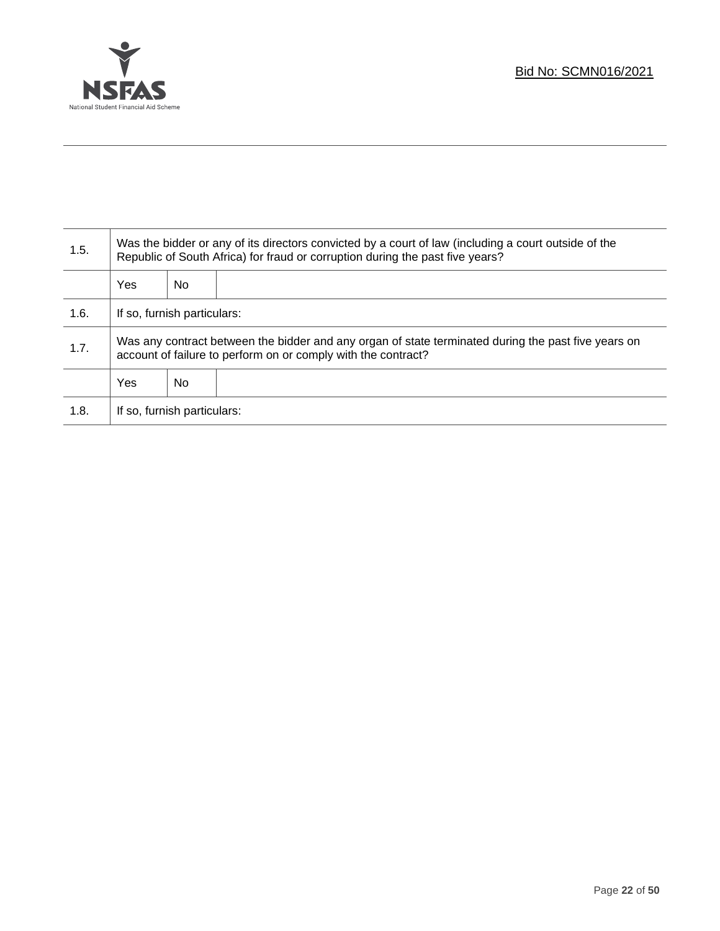

T

| 1.5. | Was the bidder or any of its directors convicted by a court of law (including a court outside of the<br>Republic of South Africa) for fraud or corruption during the past five years? |    |  |
|------|---------------------------------------------------------------------------------------------------------------------------------------------------------------------------------------|----|--|
|      | <b>Yes</b>                                                                                                                                                                            | No |  |
| 1.6. | If so, furnish particulars:                                                                                                                                                           |    |  |
| 1.7. | Was any contract between the bidder and any organ of state terminated during the past five years on<br>account of failure to perform on or comply with the contract?                  |    |  |
|      | <b>Yes</b>                                                                                                                                                                            | No |  |
| 1.8. | If so, furnish particulars:                                                                                                                                                           |    |  |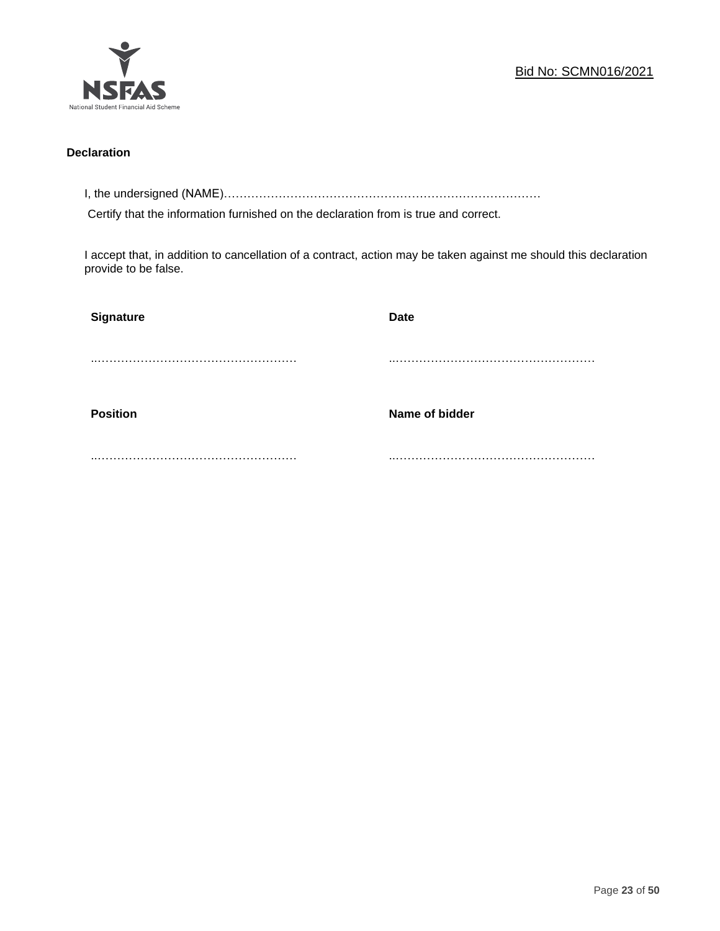

### **Declaration**

I, the undersigned (NAME)………………………………………………………………………

Certify that the information furnished on the declaration from is true and correct.

I accept that, in addition to cancellation of a contract, action may be taken against me should this declaration provide to be false.

| Signature       | Date           |
|-----------------|----------------|
|                 |                |
|                 |                |
| <b>Position</b> | Name of bidder |
|                 |                |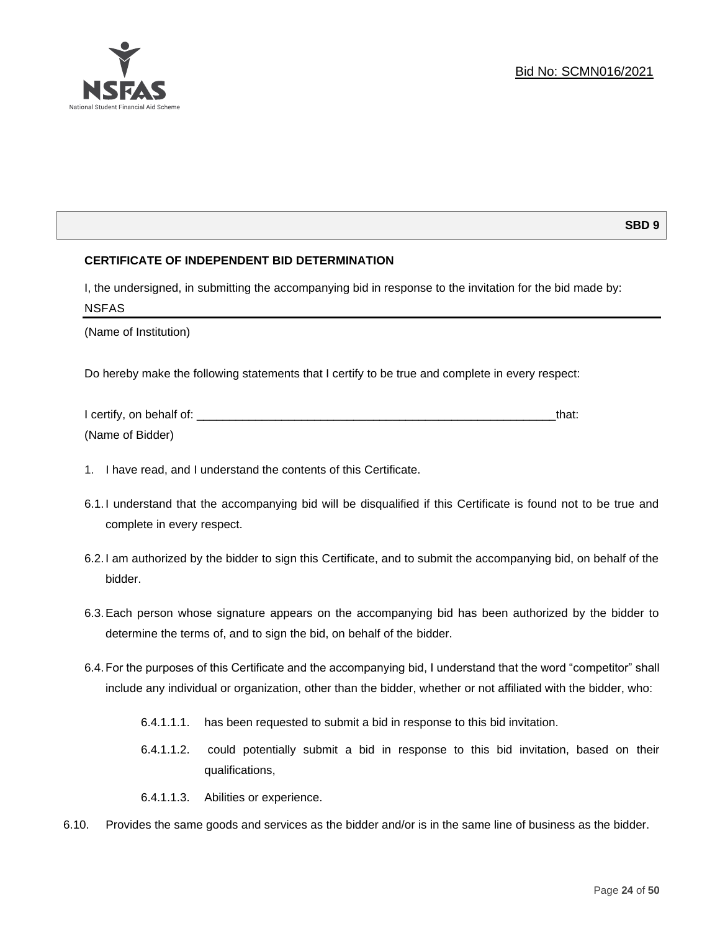

### **SBD 9**

### **CERTIFICATE OF INDEPENDENT BID DETERMINATION**

I, the undersigned, in submitting the accompanying bid in response to the invitation for the bid made by: NSFAS

(Name of Institution)

Do hereby make the following statements that I certify to be true and complete in every respect:

| I certify, on behalf of: |  |
|--------------------------|--|
| (Name of Bidder)         |  |

- 1. I have read, and I understand the contents of this Certificate.
- 6.1.I understand that the accompanying bid will be disqualified if this Certificate is found not to be true and complete in every respect.
- 6.2.I am authorized by the bidder to sign this Certificate, and to submit the accompanying bid, on behalf of the bidder.
- 6.3.Each person whose signature appears on the accompanying bid has been authorized by the bidder to determine the terms of, and to sign the bid, on behalf of the bidder.
- 6.4.For the purposes of this Certificate and the accompanying bid, I understand that the word "competitor" shall include any individual or organization, other than the bidder, whether or not affiliated with the bidder, who:
	- 6.4.1.1.1. has been requested to submit a bid in response to this bid invitation.
	- 6.4.1.1.2. could potentially submit a bid in response to this bid invitation, based on their qualifications,
	- 6.4.1.1.3. Abilities or experience.
- 6.10. Provides the same goods and services as the bidder and/or is in the same line of business as the bidder.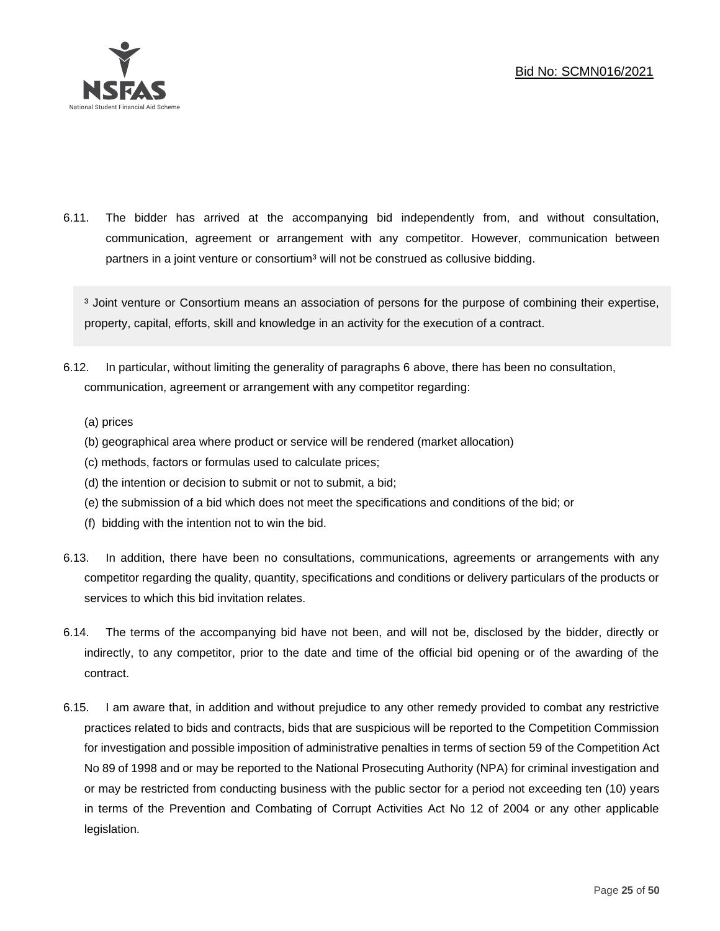

6.11. The bidder has arrived at the accompanying bid independently from, and without consultation, communication, agreement or arrangement with any competitor. However, communication between partners in a joint venture or consortium<sup>3</sup> will not be construed as collusive bidding.

<sup>3</sup> Joint venture or Consortium means an association of persons for the purpose of combining their expertise, property, capital, efforts, skill and knowledge in an activity for the execution of a contract.

- 6.12. In particular, without limiting the generality of paragraphs 6 above, there has been no consultation, communication, agreement or arrangement with any competitor regarding:
	- (a) prices
	- (b) geographical area where product or service will be rendered (market allocation)
	- (c) methods, factors or formulas used to calculate prices;
	- (d) the intention or decision to submit or not to submit, a bid;
	- (e) the submission of a bid which does not meet the specifications and conditions of the bid; or
	- (f) bidding with the intention not to win the bid.
- 6.13. In addition, there have been no consultations, communications, agreements or arrangements with any competitor regarding the quality, quantity, specifications and conditions or delivery particulars of the products or services to which this bid invitation relates.
- 6.14. The terms of the accompanying bid have not been, and will not be, disclosed by the bidder, directly or indirectly, to any competitor, prior to the date and time of the official bid opening or of the awarding of the contract.
- 6.15. I am aware that, in addition and without prejudice to any other remedy provided to combat any restrictive practices related to bids and contracts, bids that are suspicious will be reported to the Competition Commission for investigation and possible imposition of administrative penalties in terms of section 59 of the Competition Act No 89 of 1998 and or may be reported to the National Prosecuting Authority (NPA) for criminal investigation and or may be restricted from conducting business with the public sector for a period not exceeding ten (10) years in terms of the Prevention and Combating of Corrupt Activities Act No 12 of 2004 or any other applicable legislation.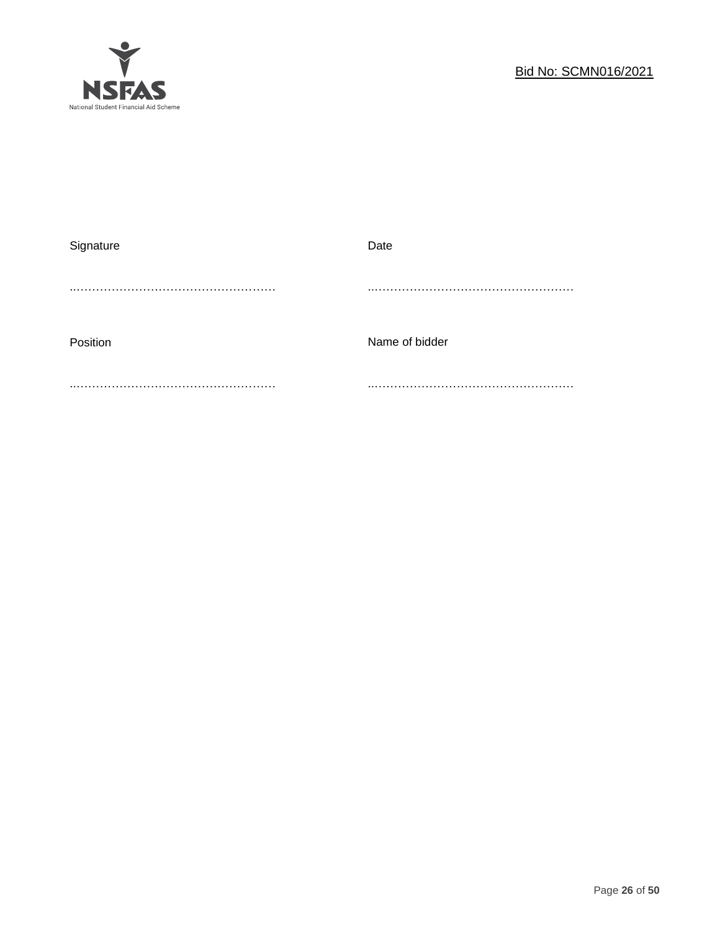

| Signature | Date           |
|-----------|----------------|
|           |                |
|           |                |
|           |                |
| Position  | Name of bidder |
|           |                |
|           |                |
|           |                |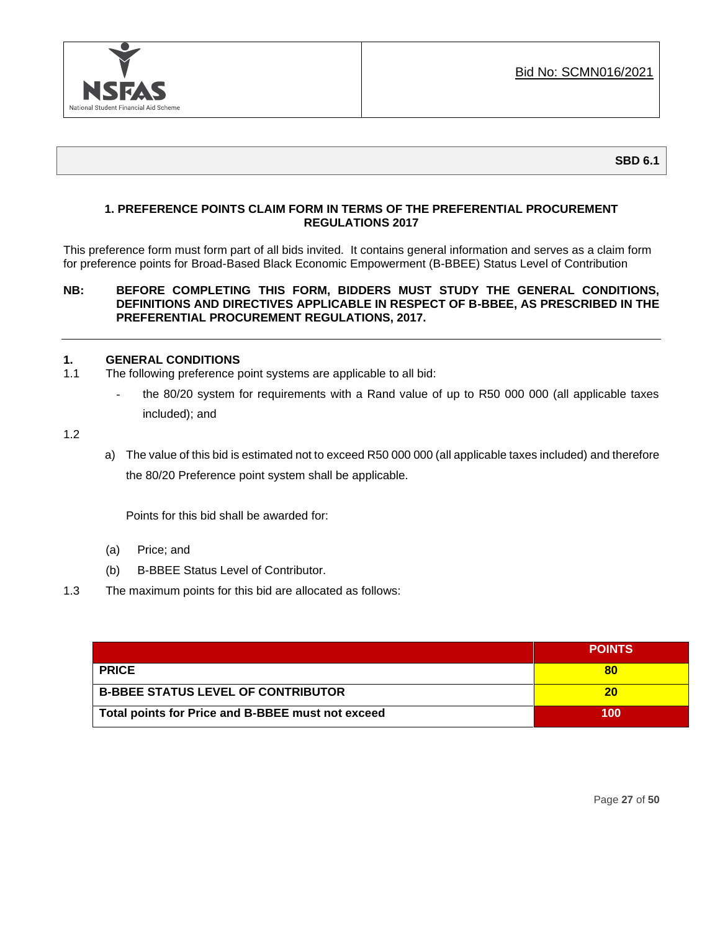

### **1. PREFERENCE POINTS CLAIM FORM IN TERMS OF THE PREFERENTIAL PROCUREMENT REGULATIONS 2017**

This preference form must form part of all bids invited. It contains general information and serves as a claim form for preference points for Broad-Based Black Economic Empowerment (B-BBEE) Status Level of Contribution

### **NB: BEFORE COMPLETING THIS FORM, BIDDERS MUST STUDY THE GENERAL CONDITIONS, DEFINITIONS AND DIRECTIVES APPLICABLE IN RESPECT OF B-BBEE, AS PRESCRIBED IN THE PREFERENTIAL PROCUREMENT REGULATIONS, 2017.**

### **1. GENERAL CONDITIONS**

- 1.1 The following preference point systems are applicable to all bid:
	- the 80/20 system for requirements with a Rand value of up to R50 000 000 (all applicable taxes included); and

1.2

a) The value of this bid is estimated not to exceed R50 000 000 (all applicable taxes included) and therefore the 80/20 Preference point system shall be applicable.

Points for this bid shall be awarded for:

- (a) Price; and
- (b) B-BBEE Status Level of Contributor.
- 1.3 The maximum points for this bid are allocated as follows:

|                                                   | <b>POINTS</b> |
|---------------------------------------------------|---------------|
| <b>PRICE</b>                                      |               |
| <b>B-BBEE STATUS LEVEL OF CONTRIBUTOR</b>         | 20            |
| Total points for Price and B-BBEE must not exceed | 100           |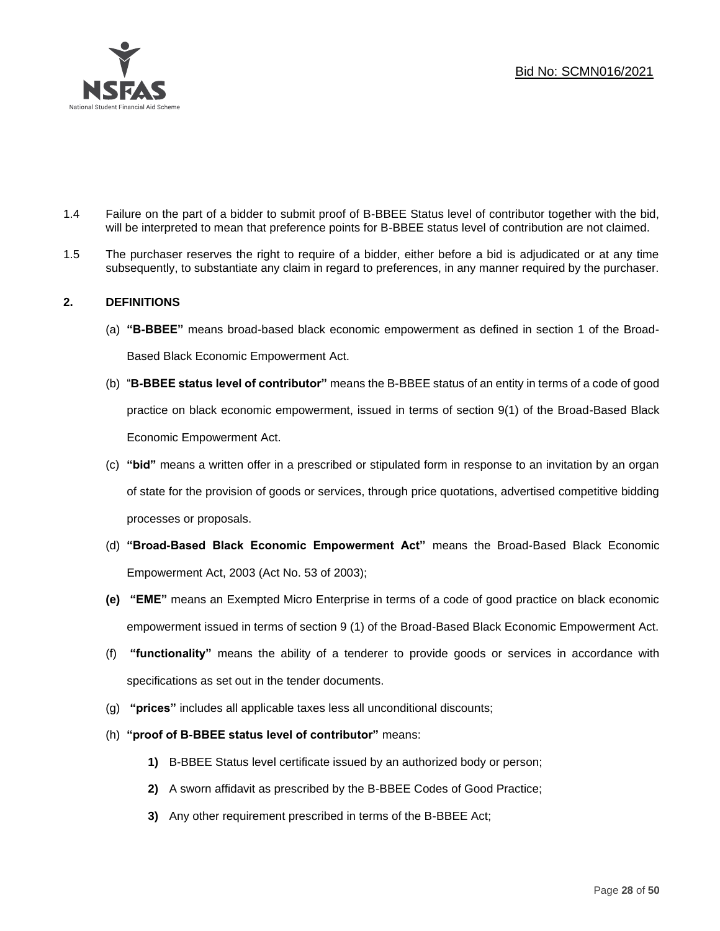

- 1.4 Failure on the part of a bidder to submit proof of B-BBEE Status level of contributor together with the bid, will be interpreted to mean that preference points for B-BBEE status level of contribution are not claimed.
- 1.5 The purchaser reserves the right to require of a bidder, either before a bid is adjudicated or at any time subsequently, to substantiate any claim in regard to preferences, in any manner required by the purchaser.

### **2. DEFINITIONS**

- (a) **"B-BBEE"** means broad-based black economic empowerment as defined in section 1 of the Broad-Based Black Economic Empowerment Act.
- (b) "**B-BBEE status level of contributor"** means the B-BBEE status of an entity in terms of a code of good practice on black economic empowerment, issued in terms of section 9(1) of the Broad-Based Black Economic Empowerment Act.
- (c) **"bid"** means a written offer in a prescribed or stipulated form in response to an invitation by an organ of state for the provision of goods or services, through price quotations, advertised competitive bidding processes or proposals.
- (d) **"Broad-Based Black Economic Empowerment Act"** means the Broad-Based Black Economic Empowerment Act, 2003 (Act No. 53 of 2003);
- **(e) "EME"** means an Exempted Micro Enterprise in terms of a code of good practice on black economic empowerment issued in terms of section 9 (1) of the Broad-Based Black Economic Empowerment Act.
- (f) **"functionality"** means the ability of a tenderer to provide goods or services in accordance with specifications as set out in the tender documents.
- (g) **"prices"** includes all applicable taxes less all unconditional discounts;
- (h) **"proof of B-BBEE status level of contributor"** means:
	- **1)** B-BBEE Status level certificate issued by an authorized body or person;
	- **2)** A sworn affidavit as prescribed by the B-BBEE Codes of Good Practice;
	- **3)** Any other requirement prescribed in terms of the B-BBEE Act;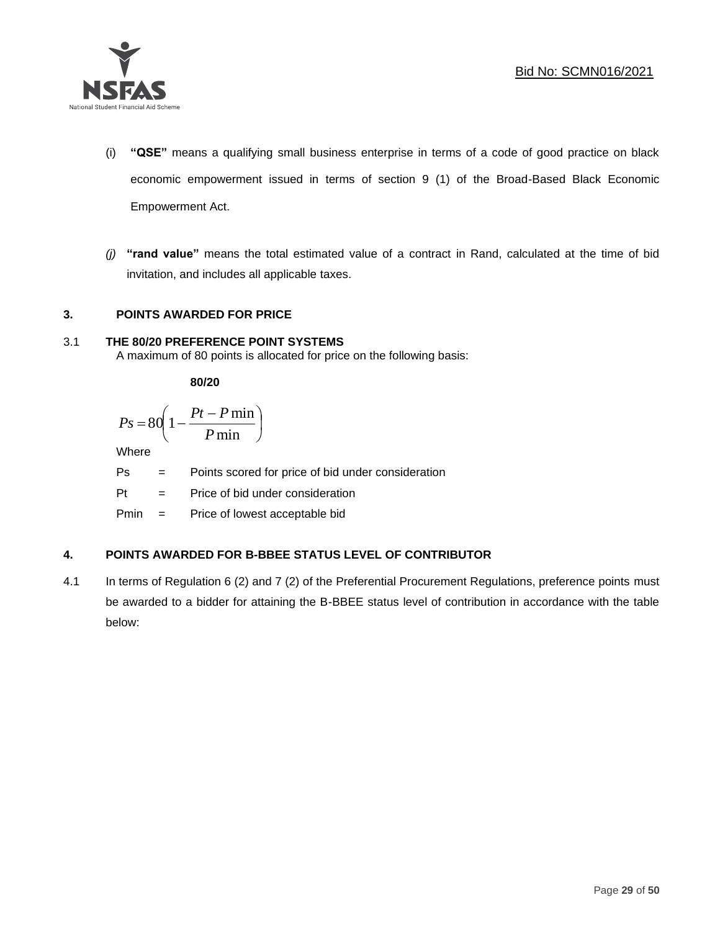

- (i) **"QSE"** means a qualifying small business enterprise in terms of a code of good practice on black economic empowerment issued in terms of section 9 (1) of the Broad-Based Black Economic Empowerment Act.
- *(j)* **"rand value"** means the total estimated value of a contract in Rand, calculated at the time of bid invitation, and includes all applicable taxes.

### **3. POINTS AWARDED FOR PRICE**

### 3.1 **THE 80/20 PREFERENCE POINT SYSTEMS**

A maximum of 80 points is allocated for price on the following basis:

**80/20**

$$
Ps = 80 \left( 1 - \frac{Pt - P \min}{P \min} \right)
$$

Where

Ps = Points scored for price of bid under consideration

l

Pt = Price of bid under consideration

Pmin = Price of lowest acceptable bid

### **4. POINTS AWARDED FOR B-BBEE STATUS LEVEL OF CONTRIBUTOR**

4.1 In terms of Regulation 6 (2) and 7 (2) of the Preferential Procurement Regulations, preference points must be awarded to a bidder for attaining the B-BBEE status level of contribution in accordance with the table below: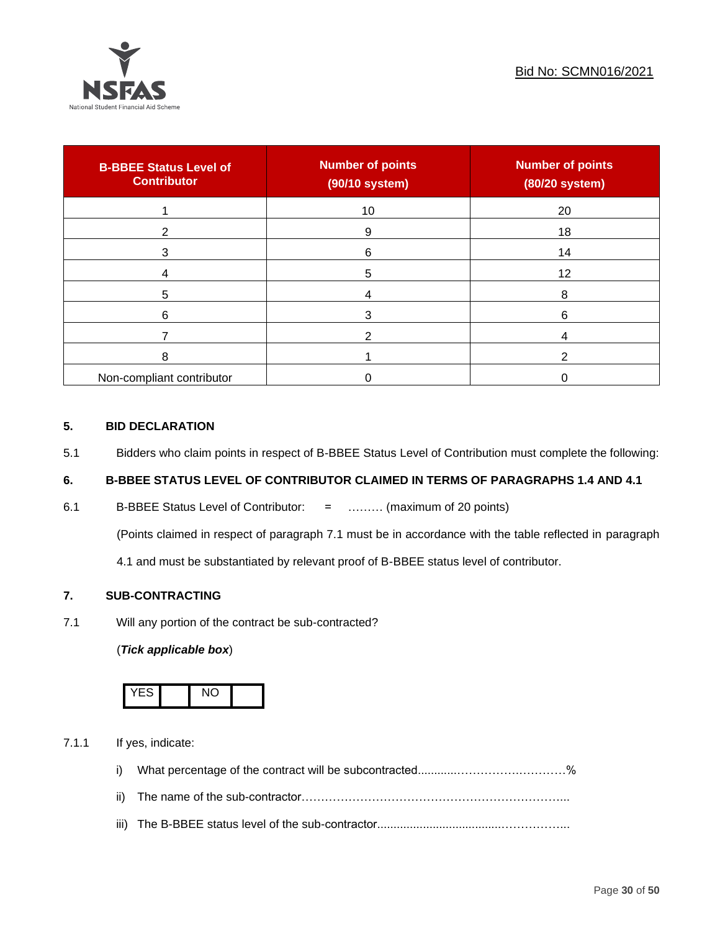

| <b>B-BBEE Status Level of</b><br><b>Contributor</b> | <b>Number of points</b><br>(90/10 system) | <b>Number of points</b><br>(80/20 system) |
|-----------------------------------------------------|-------------------------------------------|-------------------------------------------|
|                                                     | 10                                        | 20                                        |
| 2                                                   | 9                                         | 18                                        |
| 3                                                   | 6                                         | 14                                        |
|                                                     | 5                                         | 12                                        |
| 5                                                   |                                           | 8                                         |
| 6                                                   |                                           | 6                                         |
|                                                     |                                           |                                           |
| 8                                                   |                                           | ົ                                         |
| Non-compliant contributor                           |                                           |                                           |

### **5. BID DECLARATION**

5.1 Bidders who claim points in respect of B-BBEE Status Level of Contribution must complete the following:

### **6. B-BBEE STATUS LEVEL OF CONTRIBUTOR CLAIMED IN TERMS OF PARAGRAPHS 1.4 AND 4.1**

6.1 B-BBEE Status Level of Contributor: = ……… (maximum of 20 points)

(Points claimed in respect of paragraph 7.1 must be in accordance with the table reflected in paragraph

4.1 and must be substantiated by relevant proof of B-BBEE status level of contributor.

### **7. SUB-CONTRACTING**

7.1 Will any portion of the contract be sub-contracted?

### (*Tick applicable box*)



7.1.1 If yes, indicate:

- i) What percentage of the contract will be subcontracted............…………….…………%
- ii) The name of the sub-contractor…………………………………………………………...
- iii) The B-BBEE status level of the sub-contractor......................................……………...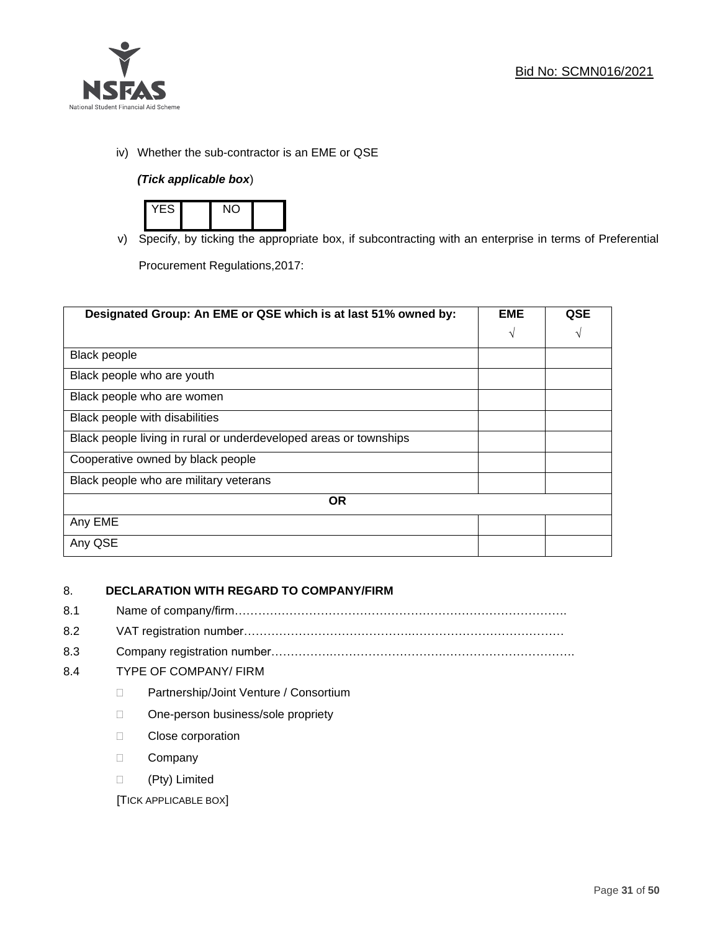

iv) Whether the sub-contractor is an EME or QSE

### *(Tick applicable box*)



v) Specify, by ticking the appropriate box, if subcontracting with an enterprise in terms of Preferential

Procurement Regulations,2017:

| Designated Group: An EME or QSE which is at last 51% owned by:    | <b>EME</b> | QSE |
|-------------------------------------------------------------------|------------|-----|
|                                                                   | $\sqrt{ }$ | V   |
| Black people                                                      |            |     |
| Black people who are youth                                        |            |     |
| Black people who are women                                        |            |     |
| Black people with disabilities                                    |            |     |
| Black people living in rural or underdeveloped areas or townships |            |     |
| Cooperative owned by black people                                 |            |     |
| Black people who are military veterans                            |            |     |
| <b>OR</b>                                                         |            |     |
| Any EME                                                           |            |     |
| Any QSE                                                           |            |     |

### 8. **DECLARATION WITH REGARD TO COMPANY/FIRM**

- 8.1 Name of company/firm………………………………………………………………………….
- 8.2 VAT registration number…………………………………….…………………………………
- 8.3 Company registration number…………….……………………….…………………………….

### 8.4 TYPE OF COMPANY/ FIRM

- D Partnership/Joint Venture / Consortium
- □ One-person business/sole propriety
- D Close corporation
- D Company
- (Pty) Limited

[TICK APPLICABLE BOX]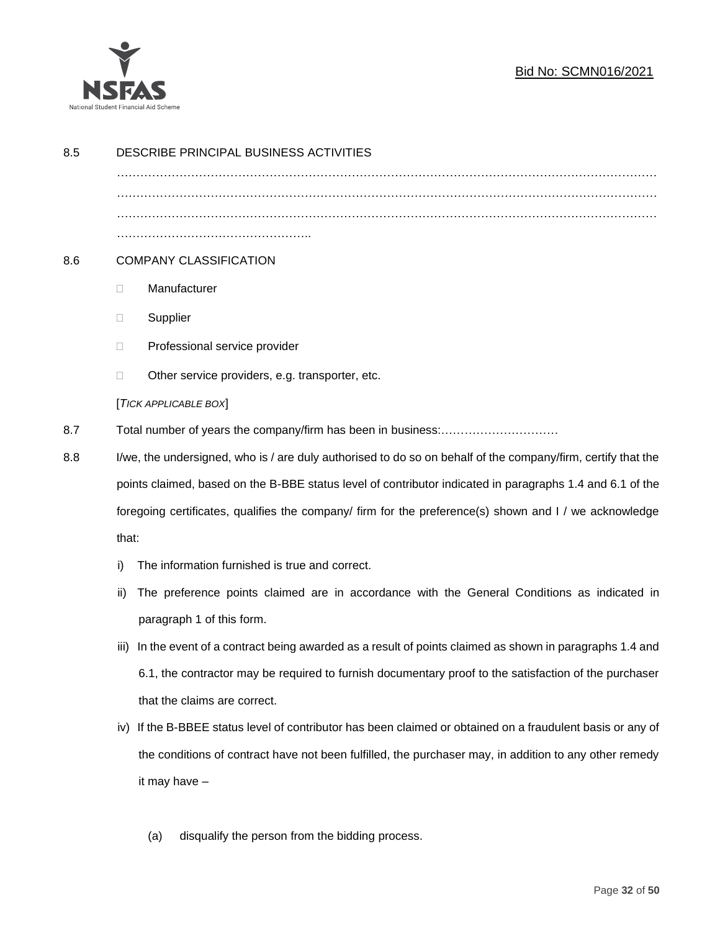

### Bid No: SCMN016/2021

| 8.5 |                                                                                                                 | DESCRIBE PRINCIPAL BUSINESS ACTIVITIES                                                                 |  |  |
|-----|-----------------------------------------------------------------------------------------------------------------|--------------------------------------------------------------------------------------------------------|--|--|
|     |                                                                                                                 |                                                                                                        |  |  |
|     |                                                                                                                 |                                                                                                        |  |  |
|     |                                                                                                                 |                                                                                                        |  |  |
| 8.6 | <b>COMPANY CLASSIFICATION</b>                                                                                   |                                                                                                        |  |  |
|     | $\Box$                                                                                                          | Manufacturer                                                                                           |  |  |
|     | $\Box$                                                                                                          | Supplier                                                                                               |  |  |
|     | $\Box$                                                                                                          | Professional service provider                                                                          |  |  |
|     | □                                                                                                               | Other service providers, e.g. transporter, etc.                                                        |  |  |
|     |                                                                                                                 | [TICK APPLICABLE BOX]                                                                                  |  |  |
| 8.7 |                                                                                                                 |                                                                                                        |  |  |
| 8.8 | I/we, the undersigned, who is / are duly authorised to do so on behalf of the company/firm, certify that the    |                                                                                                        |  |  |
|     | points claimed, based on the B-BBE status level of contributor indicated in paragraphs 1.4 and 6.1 of the       |                                                                                                        |  |  |
|     | foregoing certificates, qualifies the company/ firm for the preference(s) shown and I / we acknowledge<br>that: |                                                                                                        |  |  |
|     |                                                                                                                 |                                                                                                        |  |  |
|     | i)                                                                                                              | The information furnished is true and correct.                                                         |  |  |
|     | ii)                                                                                                             | The preference points claimed are in accordance with the General Conditions as indicated in            |  |  |
|     |                                                                                                                 | paragraph 1 of this form.                                                                              |  |  |
|     | iii)                                                                                                            | In the event of a contract being awarded as a result of points claimed as shown in paragraphs 1.4 and  |  |  |
|     |                                                                                                                 | 6.1, the contractor may be required to furnish documentary proof to the satisfaction of the purchaser  |  |  |
|     |                                                                                                                 | that the claims are correct.                                                                           |  |  |
|     | iv)                                                                                                             | If the B-BBEE status level of contributor has been claimed or obtained on a fraudulent basis or any of |  |  |
|     |                                                                                                                 | the conditions of contract have not been fulfilled, the purchaser may, in addition to any other remedy |  |  |
|     |                                                                                                                 | it may have -                                                                                          |  |  |
|     |                                                                                                                 |                                                                                                        |  |  |
|     |                                                                                                                 | disqualify the person from the bidding process.<br>(a)                                                 |  |  |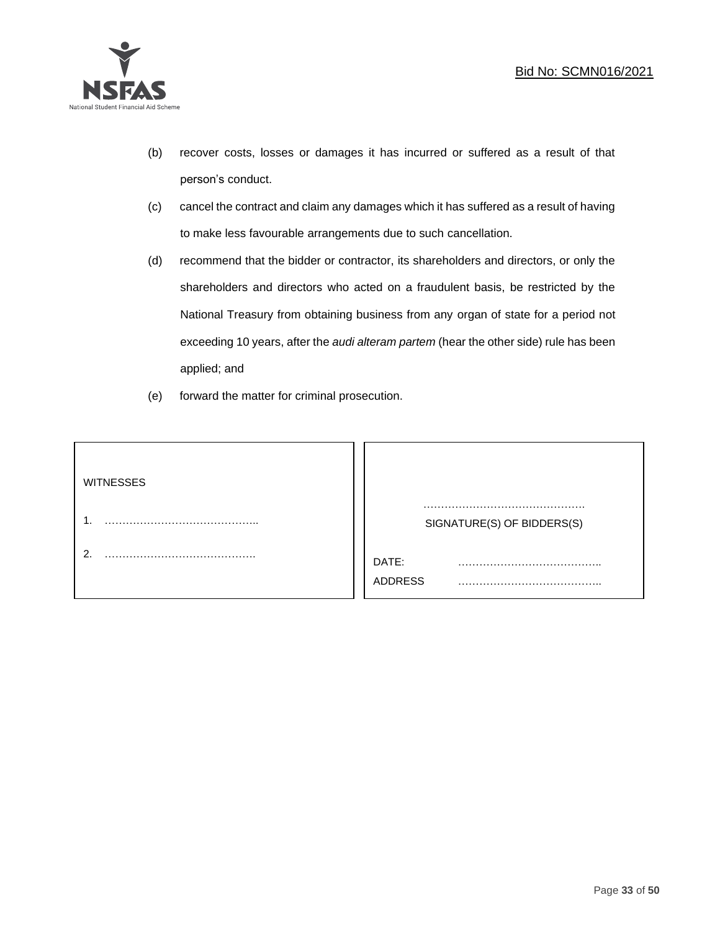

- (b) recover costs, losses or damages it has incurred or suffered as a result of that person's conduct.
- (c) cancel the contract and claim any damages which it has suffered as a result of having to make less favourable arrangements due to such cancellation.
- (d) recommend that the bidder or contractor, its shareholders and directors, or only the shareholders and directors who acted on a fraudulent basis, be restricted by the National Treasury from obtaining business from any organ of state for a period not exceeding 10 years, after the *audi alteram partem* (hear the other side) rule has been applied; and
- (e) forward the matter for criminal prosecution.

| <b>WITNESSES</b> |                            |
|------------------|----------------------------|
|                  | SIGNATURE(S) OF BIDDERS(S) |
|                  | DATE:<br>.<br>ADDRESS      |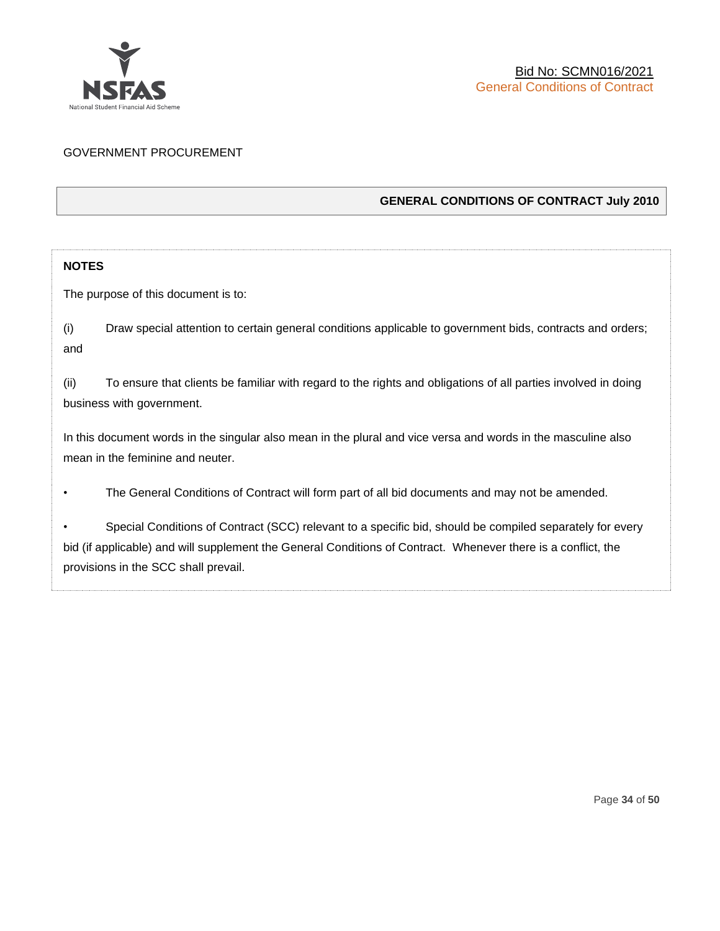

### GOVERNMENT PROCUREMENT

### **GENERAL CONDITIONS OF CONTRACT July 2010**

### **NOTES**

The purpose of this document is to:

(i) Draw special attention to certain general conditions applicable to government bids, contracts and orders; and

(ii) To ensure that clients be familiar with regard to the rights and obligations of all parties involved in doing business with government.

In this document words in the singular also mean in the plural and vice versa and words in the masculine also mean in the feminine and neuter.

• The General Conditions of Contract will form part of all bid documents and may not be amended.

Special Conditions of Contract (SCC) relevant to a specific bid, should be compiled separately for every bid (if applicable) and will supplement the General Conditions of Contract. Whenever there is a conflict, the provisions in the SCC shall prevail.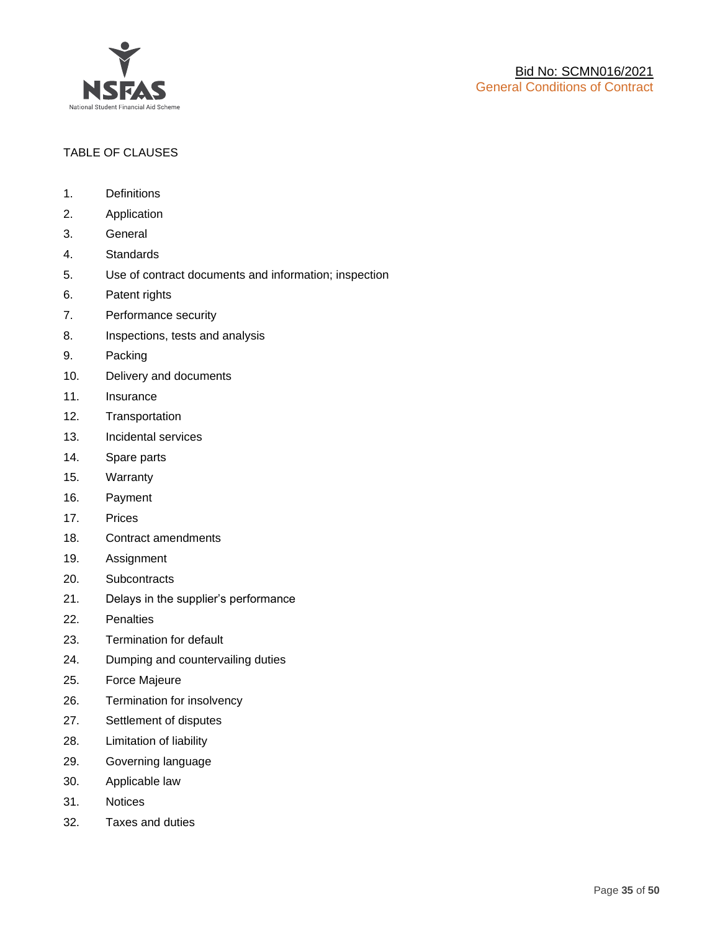

### TABLE OF CLAUSES

- 1. Definitions
- 2. Application
- 3. General
- 4. Standards
- 5. Use of contract documents and information; inspection
- 6. Patent rights
- 7. Performance security
- 8. Inspections, tests and analysis
- 9. Packing
- 10. Delivery and documents
- 11. Insurance
- 12. Transportation
- 13. Incidental services
- 14. Spare parts
- 15. Warranty
- 16. Payment
- 17. Prices
- 18. Contract amendments
- 19. Assignment
- 20. Subcontracts
- 21. Delays in the supplier's performance
- 22. Penalties
- 23. Termination for default
- 24. Dumping and countervailing duties
- 25. Force Majeure
- 26. Termination for insolvency
- 27. Settlement of disputes
- 28. Limitation of liability
- 29. Governing language
- 30. Applicable law
- 31. Notices
- 32. Taxes and duties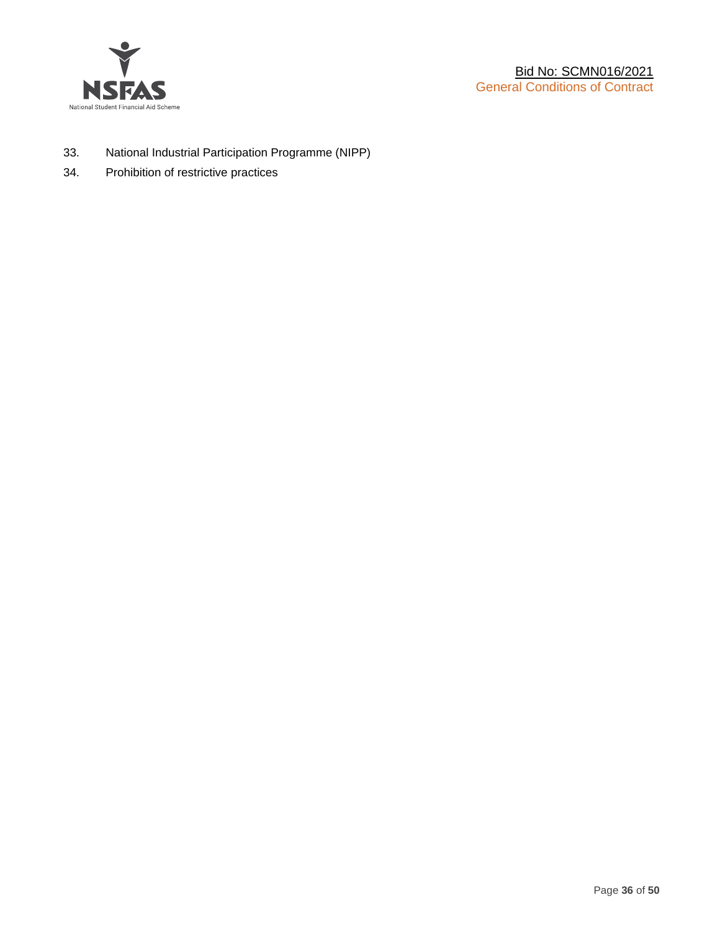

- 33. National Industrial Participation Programme (NIPP)
- 34. Prohibition of restrictive practices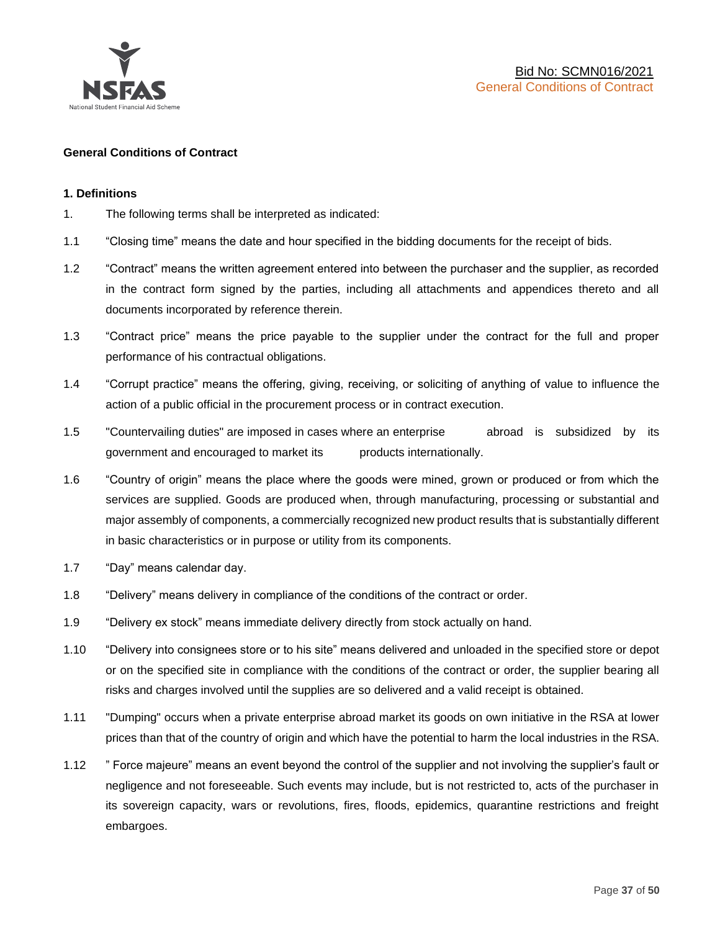

### **General Conditions of Contract**

### **1. Definitions**

- 1. The following terms shall be interpreted as indicated:
- 1.1 "Closing time" means the date and hour specified in the bidding documents for the receipt of bids.
- 1.2 "Contract" means the written agreement entered into between the purchaser and the supplier, as recorded in the contract form signed by the parties, including all attachments and appendices thereto and all documents incorporated by reference therein.
- 1.3 "Contract price" means the price payable to the supplier under the contract for the full and proper performance of his contractual obligations.
- 1.4 "Corrupt practice" means the offering, giving, receiving, or soliciting of anything of value to influence the action of a public official in the procurement process or in contract execution.
- 1.5 "Countervailing duties" are imposed in cases where an enterprise abroad is subsidized by its government and encouraged to market its products internationally.
- 1.6 "Country of origin" means the place where the goods were mined, grown or produced or from which the services are supplied. Goods are produced when, through manufacturing, processing or substantial and major assembly of components, a commercially recognized new product results that is substantially different in basic characteristics or in purpose or utility from its components.
- 1.7 "Day" means calendar day.
- 1.8 "Delivery" means delivery in compliance of the conditions of the contract or order.
- 1.9 "Delivery ex stock" means immediate delivery directly from stock actually on hand.
- 1.10 "Delivery into consignees store or to his site" means delivered and unloaded in the specified store or depot or on the specified site in compliance with the conditions of the contract or order, the supplier bearing all risks and charges involved until the supplies are so delivered and a valid receipt is obtained.
- 1.11 "Dumping" occurs when a private enterprise abroad market its goods on own initiative in the RSA at lower prices than that of the country of origin and which have the potential to harm the local industries in the RSA.
- 1.12 " Force majeure" means an event beyond the control of the supplier and not involving the supplier's fault or negligence and not foreseeable. Such events may include, but is not restricted to, acts of the purchaser in its sovereign capacity, wars or revolutions, fires, floods, epidemics, quarantine restrictions and freight embargoes.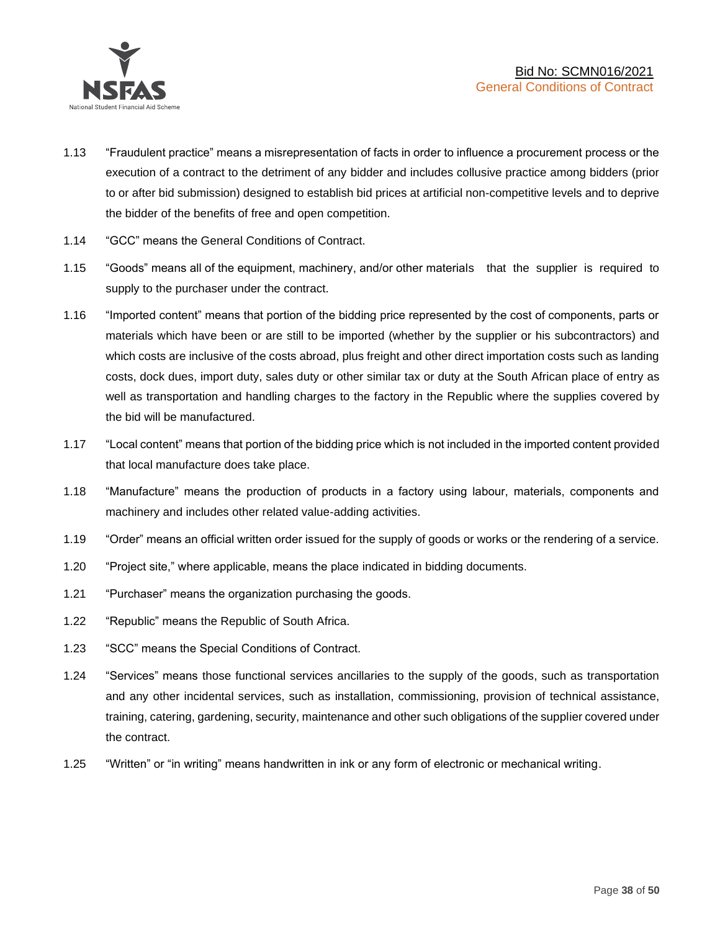

- 1.13 "Fraudulent practice" means a misrepresentation of facts in order to influence a procurement process or the execution of a contract to the detriment of any bidder and includes collusive practice among bidders (prior to or after bid submission) designed to establish bid prices at artificial non-competitive levels and to deprive the bidder of the benefits of free and open competition.
- 1.14 "GCC" means the General Conditions of Contract.
- 1.15 "Goods" means all of the equipment, machinery, and/or other materials that the supplier is required to supply to the purchaser under the contract.
- 1.16 "Imported content" means that portion of the bidding price represented by the cost of components, parts or materials which have been or are still to be imported (whether by the supplier or his subcontractors) and which costs are inclusive of the costs abroad, plus freight and other direct importation costs such as landing costs, dock dues, import duty, sales duty or other similar tax or duty at the South African place of entry as well as transportation and handling charges to the factory in the Republic where the supplies covered by the bid will be manufactured.
- 1.17 "Local content" means that portion of the bidding price which is not included in the imported content provided that local manufacture does take place.
- 1.18 "Manufacture" means the production of products in a factory using labour, materials, components and machinery and includes other related value-adding activities.
- 1.19 "Order" means an official written order issued for the supply of goods or works or the rendering of a service.
- 1.20 "Project site," where applicable, means the place indicated in bidding documents.
- 1.21 "Purchaser" means the organization purchasing the goods.
- 1.22 "Republic" means the Republic of South Africa.
- 1.23 "SCC" means the Special Conditions of Contract.
- 1.24 "Services" means those functional services ancillaries to the supply of the goods, such as transportation and any other incidental services, such as installation, commissioning, provision of technical assistance, training, catering, gardening, security, maintenance and other such obligations of the supplier covered under the contract.
- 1.25 "Written" or "in writing" means handwritten in ink or any form of electronic or mechanical writing.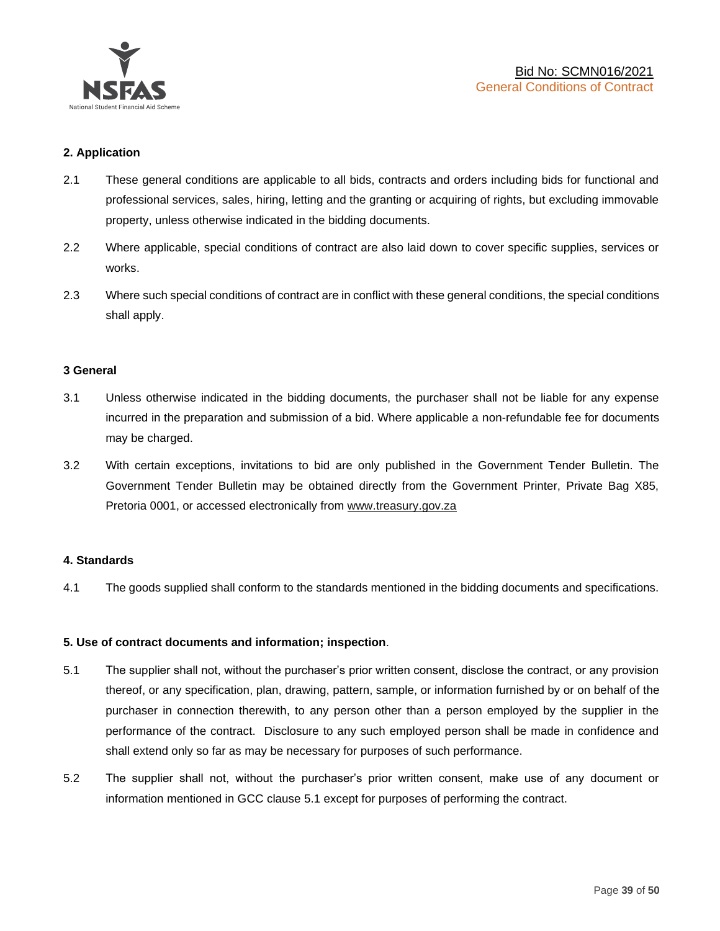

### **2. Application**

- 2.1 These general conditions are applicable to all bids, contracts and orders including bids for functional and professional services, sales, hiring, letting and the granting or acquiring of rights, but excluding immovable property, unless otherwise indicated in the bidding documents.
- 2.2 Where applicable, special conditions of contract are also laid down to cover specific supplies, services or works.
- 2.3 Where such special conditions of contract are in conflict with these general conditions, the special conditions shall apply.

### **3 General**

- 3.1 Unless otherwise indicated in the bidding documents, the purchaser shall not be liable for any expense incurred in the preparation and submission of a bid. Where applicable a non-refundable fee for documents may be charged.
- 3.2 With certain exceptions, invitations to bid are only published in the Government Tender Bulletin. The Government Tender Bulletin may be obtained directly from the Government Printer, Private Bag X85, Pretoria 0001, or accessed electronically from [www.treasury.gov.za](http://www.treasury.gov.za/)

### **4. Standards**

4.1 The goods supplied shall conform to the standards mentioned in the bidding documents and specifications.

### **5. Use of contract documents and information; inspection**.

- 5.1 The supplier shall not, without the purchaser's prior written consent, disclose the contract, or any provision thereof, or any specification, plan, drawing, pattern, sample, or information furnished by or on behalf of the purchaser in connection therewith, to any person other than a person employed by the supplier in the performance of the contract. Disclosure to any such employed person shall be made in confidence and shall extend only so far as may be necessary for purposes of such performance.
- 5.2 The supplier shall not, without the purchaser's prior written consent, make use of any document or information mentioned in GCC clause 5.1 except for purposes of performing the contract.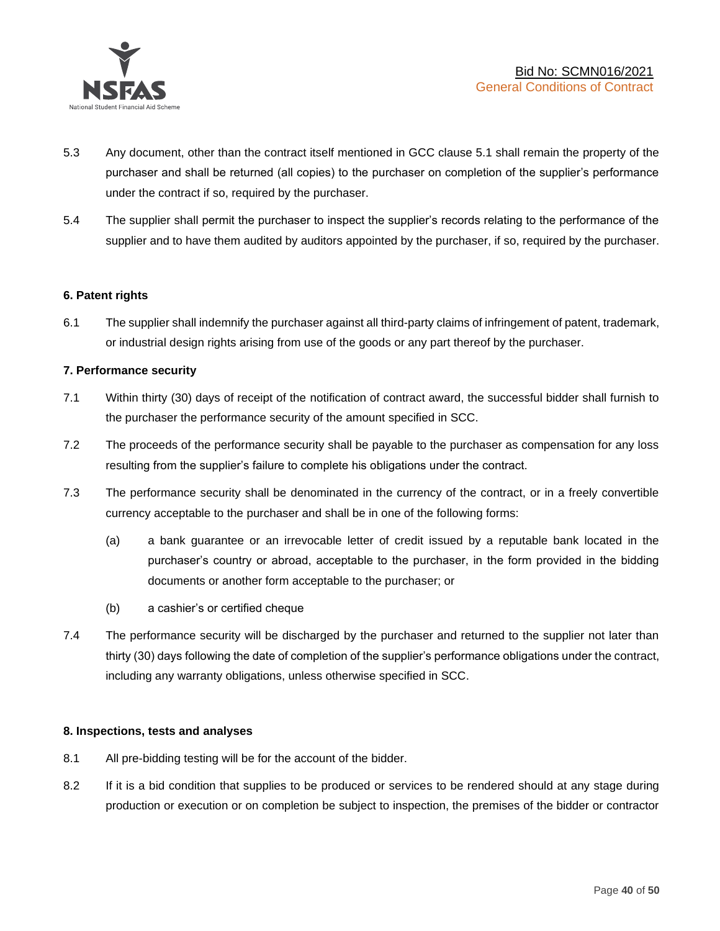

- 5.3 Any document, other than the contract itself mentioned in GCC clause 5.1 shall remain the property of the purchaser and shall be returned (all copies) to the purchaser on completion of the supplier's performance under the contract if so, required by the purchaser.
- 5.4 The supplier shall permit the purchaser to inspect the supplier's records relating to the performance of the supplier and to have them audited by auditors appointed by the purchaser, if so, required by the purchaser.

### **6. Patent rights**

6.1 The supplier shall indemnify the purchaser against all third-party claims of infringement of patent, trademark, or industrial design rights arising from use of the goods or any part thereof by the purchaser.

### **7. Performance security**

- 7.1 Within thirty (30) days of receipt of the notification of contract award, the successful bidder shall furnish to the purchaser the performance security of the amount specified in SCC.
- 7.2 The proceeds of the performance security shall be payable to the purchaser as compensation for any loss resulting from the supplier's failure to complete his obligations under the contract.
- 7.3 The performance security shall be denominated in the currency of the contract, or in a freely convertible currency acceptable to the purchaser and shall be in one of the following forms:
	- (a) a bank guarantee or an irrevocable letter of credit issued by a reputable bank located in the purchaser's country or abroad, acceptable to the purchaser, in the form provided in the bidding documents or another form acceptable to the purchaser; or
	- (b) a cashier's or certified cheque
- 7.4 The performance security will be discharged by the purchaser and returned to the supplier not later than thirty (30) days following the date of completion of the supplier's performance obligations under the contract, including any warranty obligations, unless otherwise specified in SCC.

### **8. Inspections, tests and analyses**

- 8.1 All pre-bidding testing will be for the account of the bidder.
- 8.2 If it is a bid condition that supplies to be produced or services to be rendered should at any stage during production or execution or on completion be subject to inspection, the premises of the bidder or contractor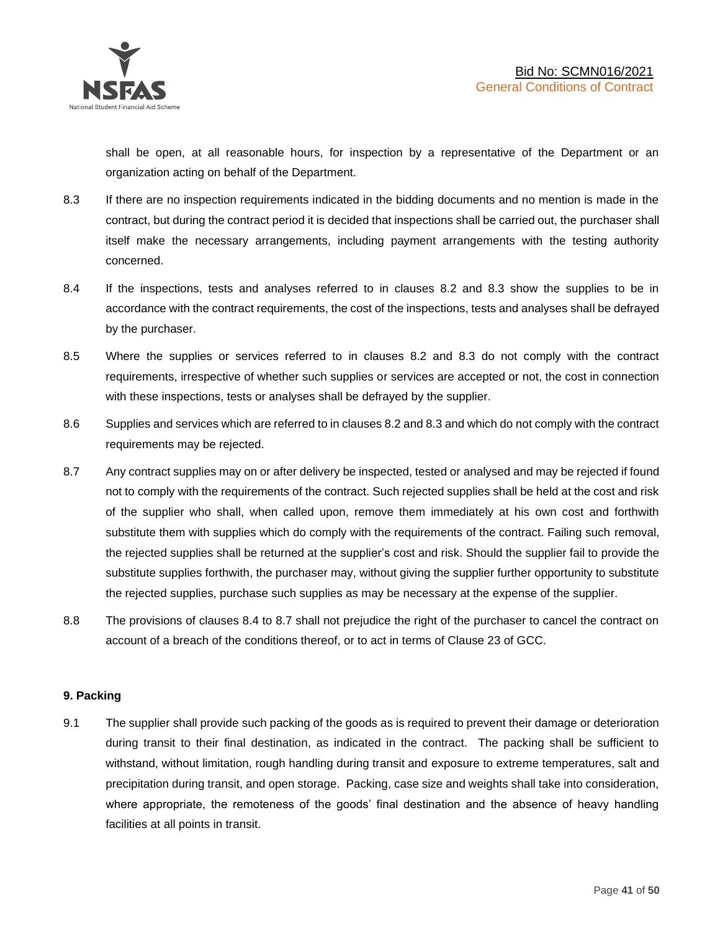shall be open, at all reasonable hours, for inspection by a representative of the Department or an organization acting on behalf of the Department.

- 8.3 If there are no inspection requirements indicated in the bidding documents and no mention is made in the contract, but during the contract period it is decided that inspections shall be carried out, the purchaser shall itself make the necessary arrangements, including payment arrangements with the testing authority concerned.
- 8.4 If the inspections, tests and analyses referred to in clauses 8.2 and 8.3 show the supplies to be in accordance with the contract requirements, the cost of the inspections, tests and analyses shall be defrayed by the purchaser.
- 8.5 Where the supplies or services referred to in clauses 8.2 and 8.3 do not comply with the contract requirements, irrespective of whether such supplies or services are accepted or not, the cost in connection with these inspections, tests or analyses shall be defrayed by the supplier.
- 8.6 Supplies and services which are referred to in clauses 8.2 and 8.3 and which do not comply with the contract requirements may be rejected.
- 8.7 Any contract supplies may on or after delivery be inspected, tested or analysed and may be rejected if found not to comply with the requirements of the contract. Such rejected supplies shall be held at the cost and risk of the supplier who shall, when called upon, remove them immediately at his own cost and forthwith substitute them with supplies which do comply with the requirements of the contract. Failing such removal, the rejected supplies shall be returned at the supplier's cost and risk. Should the supplier fail to provide the substitute supplies forthwith, the purchaser may, without giving the supplier further opportunity to substitute the rejected supplies, purchase such supplies as may be necessary at the expense of the supplier.
- 8.8 The provisions of clauses 8.4 to 8.7 shall not prejudice the right of the purchaser to cancel the contract on account of a breach of the conditions thereof, or to act in terms of Clause 23 of GCC.

### **9. Packing**

9.1 The supplier shall provide such packing of the goods as is required to prevent their damage or deterioration during transit to their final destination, as indicated in the contract. The packing shall be sufficient to withstand, without limitation, rough handling during transit and exposure to extreme temperatures, salt and precipitation during transit, and open storage. Packing, case size and weights shall take into consideration, where appropriate, the remoteness of the goods' final destination and the absence of heavy handling facilities at all points in transit.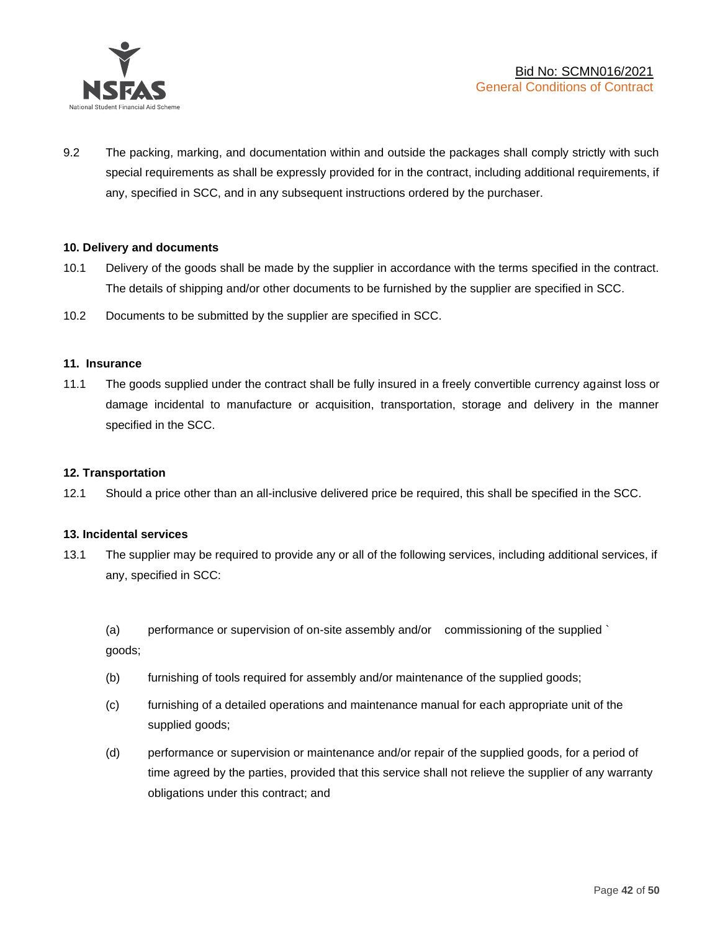

9.2 The packing, marking, and documentation within and outside the packages shall comply strictly with such special requirements as shall be expressly provided for in the contract, including additional requirements, if any, specified in SCC, and in any subsequent instructions ordered by the purchaser.

### **10. Delivery and documents**

- 10.1 Delivery of the goods shall be made by the supplier in accordance with the terms specified in the contract. The details of shipping and/or other documents to be furnished by the supplier are specified in SCC.
- 10.2 Documents to be submitted by the supplier are specified in SCC.

#### **11. Insurance**

11.1 The goods supplied under the contract shall be fully insured in a freely convertible currency against loss or damage incidental to manufacture or acquisition, transportation, storage and delivery in the manner specified in the SCC.

### **12. Transportation**

12.1 Should a price other than an all-inclusive delivered price be required, this shall be specified in the SCC.

#### **13. Incidental services**

13.1 The supplier may be required to provide any or all of the following services, including additional services, if any, specified in SCC:

(a) performance or supervision of on-site assembly and/or commissioning of the supplied ` goods;

- (b) furnishing of tools required for assembly and/or maintenance of the supplied goods;
- (c) furnishing of a detailed operations and maintenance manual for each appropriate unit of the supplied goods;
- (d) performance or supervision or maintenance and/or repair of the supplied goods, for a period of time agreed by the parties, provided that this service shall not relieve the supplier of any warranty obligations under this contract; and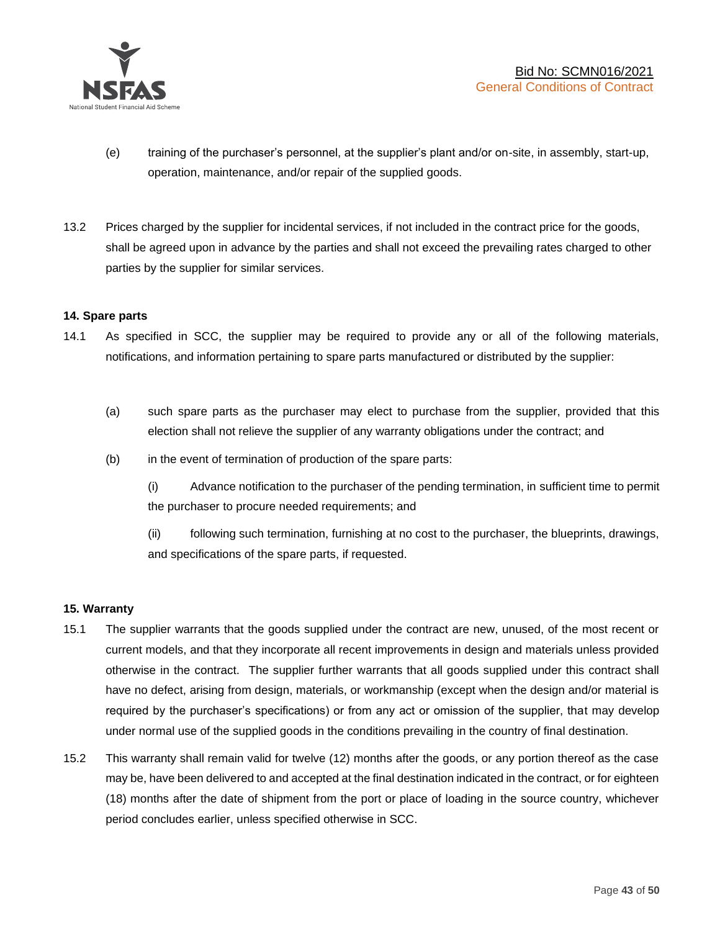

- (e) training of the purchaser's personnel, at the supplier's plant and/or on-site, in assembly, start-up, operation, maintenance, and/or repair of the supplied goods.
- 13.2 Prices charged by the supplier for incidental services, if not included in the contract price for the goods, shall be agreed upon in advance by the parties and shall not exceed the prevailing rates charged to other parties by the supplier for similar services.

### **14. Spare parts**

- 14.1 As specified in SCC, the supplier may be required to provide any or all of the following materials, notifications, and information pertaining to spare parts manufactured or distributed by the supplier:
	- (a) such spare parts as the purchaser may elect to purchase from the supplier, provided that this election shall not relieve the supplier of any warranty obligations under the contract; and
	- (b) in the event of termination of production of the spare parts:

(i) Advance notification to the purchaser of the pending termination, in sufficient time to permit the purchaser to procure needed requirements; and

(ii) following such termination, furnishing at no cost to the purchaser, the blueprints, drawings, and specifications of the spare parts, if requested.

### **15. Warranty**

- 15.1 The supplier warrants that the goods supplied under the contract are new, unused, of the most recent or current models, and that they incorporate all recent improvements in design and materials unless provided otherwise in the contract. The supplier further warrants that all goods supplied under this contract shall have no defect, arising from design, materials, or workmanship (except when the design and/or material is required by the purchaser's specifications) or from any act or omission of the supplier, that may develop under normal use of the supplied goods in the conditions prevailing in the country of final destination.
- 15.2 This warranty shall remain valid for twelve (12) months after the goods, or any portion thereof as the case may be, have been delivered to and accepted at the final destination indicated in the contract, or for eighteen (18) months after the date of shipment from the port or place of loading in the source country, whichever period concludes earlier, unless specified otherwise in SCC.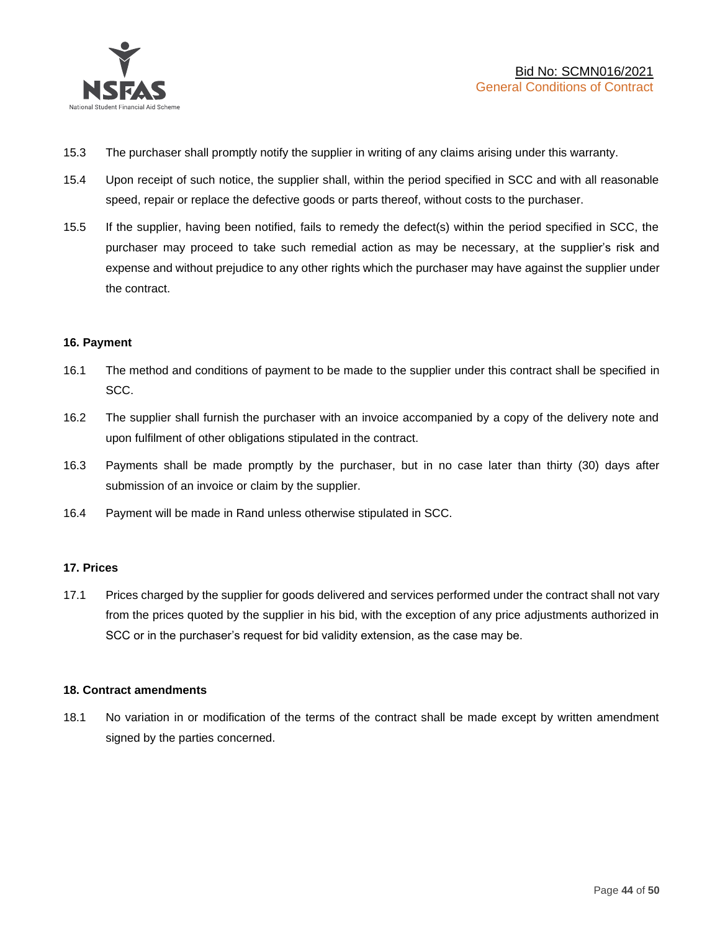

- 15.3 The purchaser shall promptly notify the supplier in writing of any claims arising under this warranty.
- 15.4 Upon receipt of such notice, the supplier shall, within the period specified in SCC and with all reasonable speed, repair or replace the defective goods or parts thereof, without costs to the purchaser.
- 15.5 If the supplier, having been notified, fails to remedy the defect(s) within the period specified in SCC, the purchaser may proceed to take such remedial action as may be necessary, at the supplier's risk and expense and without prejudice to any other rights which the purchaser may have against the supplier under the contract.

### **16. Payment**

- 16.1 The method and conditions of payment to be made to the supplier under this contract shall be specified in SCC.
- 16.2 The supplier shall furnish the purchaser with an invoice accompanied by a copy of the delivery note and upon fulfilment of other obligations stipulated in the contract.
- 16.3 Payments shall be made promptly by the purchaser, but in no case later than thirty (30) days after submission of an invoice or claim by the supplier.
- 16.4 Payment will be made in Rand unless otherwise stipulated in SCC.

### **17. Prices**

17.1 Prices charged by the supplier for goods delivered and services performed under the contract shall not vary from the prices quoted by the supplier in his bid, with the exception of any price adjustments authorized in SCC or in the purchaser's request for bid validity extension, as the case may be.

### **18. Contract amendments**

18.1 No variation in or modification of the terms of the contract shall be made except by written amendment signed by the parties concerned.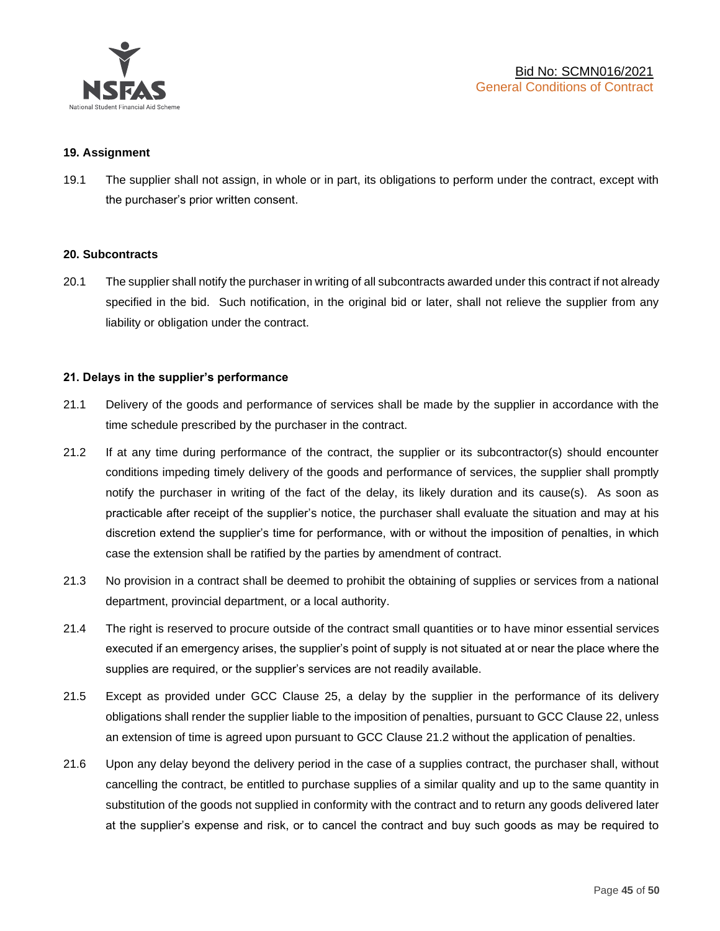

### **19. Assignment**

19.1 The supplier shall not assign, in whole or in part, its obligations to perform under the contract, except with the purchaser's prior written consent.

#### **20. Subcontracts**

20.1 The supplier shall notify the purchaser in writing of all subcontracts awarded under this contract if not already specified in the bid. Such notification, in the original bid or later, shall not relieve the supplier from any liability or obligation under the contract.

### **21. Delays in the supplier's performance**

- 21.1 Delivery of the goods and performance of services shall be made by the supplier in accordance with the time schedule prescribed by the purchaser in the contract.
- 21.2 If at any time during performance of the contract, the supplier or its subcontractor(s) should encounter conditions impeding timely delivery of the goods and performance of services, the supplier shall promptly notify the purchaser in writing of the fact of the delay, its likely duration and its cause(s). As soon as practicable after receipt of the supplier's notice, the purchaser shall evaluate the situation and may at his discretion extend the supplier's time for performance, with or without the imposition of penalties, in which case the extension shall be ratified by the parties by amendment of contract.
- 21.3 No provision in a contract shall be deemed to prohibit the obtaining of supplies or services from a national department, provincial department, or a local authority.
- 21.4 The right is reserved to procure outside of the contract small quantities or to have minor essential services executed if an emergency arises, the supplier's point of supply is not situated at or near the place where the supplies are required, or the supplier's services are not readily available.
- 21.5 Except as provided under GCC Clause 25, a delay by the supplier in the performance of its delivery obligations shall render the supplier liable to the imposition of penalties, pursuant to GCC Clause 22, unless an extension of time is agreed upon pursuant to GCC Clause 21.2 without the application of penalties.
- 21.6 Upon any delay beyond the delivery period in the case of a supplies contract, the purchaser shall, without cancelling the contract, be entitled to purchase supplies of a similar quality and up to the same quantity in substitution of the goods not supplied in conformity with the contract and to return any goods delivered later at the supplier's expense and risk, or to cancel the contract and buy such goods as may be required to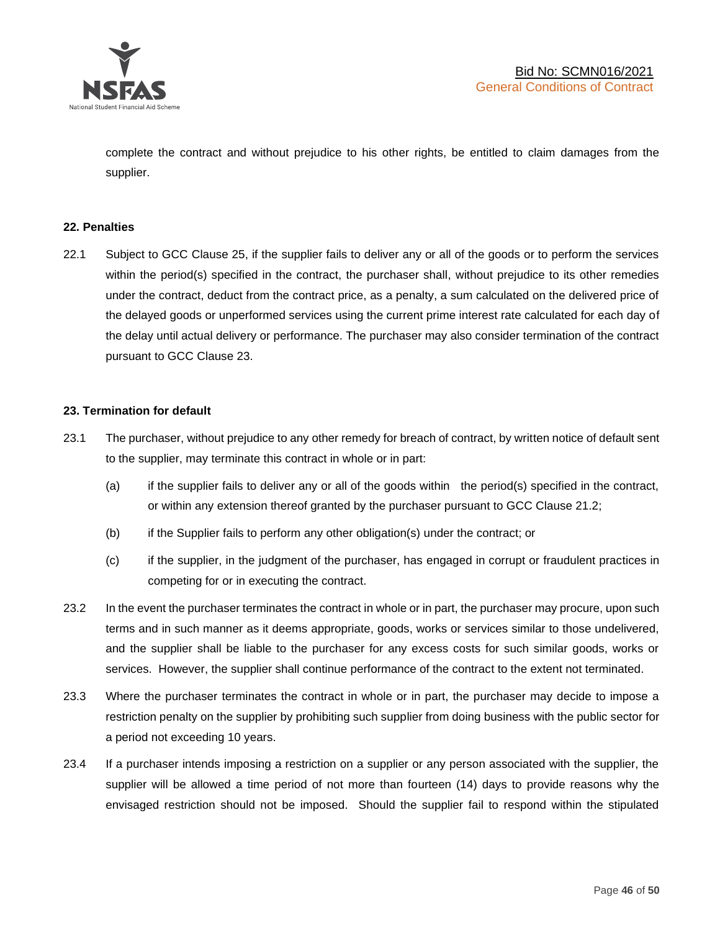

complete the contract and without prejudice to his other rights, be entitled to claim damages from the supplier.

### **22. Penalties**

22.1 Subject to GCC Clause 25, if the supplier fails to deliver any or all of the goods or to perform the services within the period(s) specified in the contract, the purchaser shall, without prejudice to its other remedies under the contract, deduct from the contract price, as a penalty, a sum calculated on the delivered price of the delayed goods or unperformed services using the current prime interest rate calculated for each day of the delay until actual delivery or performance. The purchaser may also consider termination of the contract pursuant to GCC Clause 23.

### **23. Termination for default**

- 23.1 The purchaser, without prejudice to any other remedy for breach of contract, by written notice of default sent to the supplier, may terminate this contract in whole or in part:
	- (a) if the supplier fails to deliver any or all of the goods within the period(s) specified in the contract, or within any extension thereof granted by the purchaser pursuant to GCC Clause 21.2;
	- (b) if the Supplier fails to perform any other obligation(s) under the contract; or
	- (c) if the supplier, in the judgment of the purchaser, has engaged in corrupt or fraudulent practices in competing for or in executing the contract.
- 23.2 In the event the purchaser terminates the contract in whole or in part, the purchaser may procure, upon such terms and in such manner as it deems appropriate, goods, works or services similar to those undelivered, and the supplier shall be liable to the purchaser for any excess costs for such similar goods, works or services. However, the supplier shall continue performance of the contract to the extent not terminated.
- 23.3 Where the purchaser terminates the contract in whole or in part, the purchaser may decide to impose a restriction penalty on the supplier by prohibiting such supplier from doing business with the public sector for a period not exceeding 10 years.
- 23.4 If a purchaser intends imposing a restriction on a supplier or any person associated with the supplier, the supplier will be allowed a time period of not more than fourteen (14) days to provide reasons why the envisaged restriction should not be imposed. Should the supplier fail to respond within the stipulated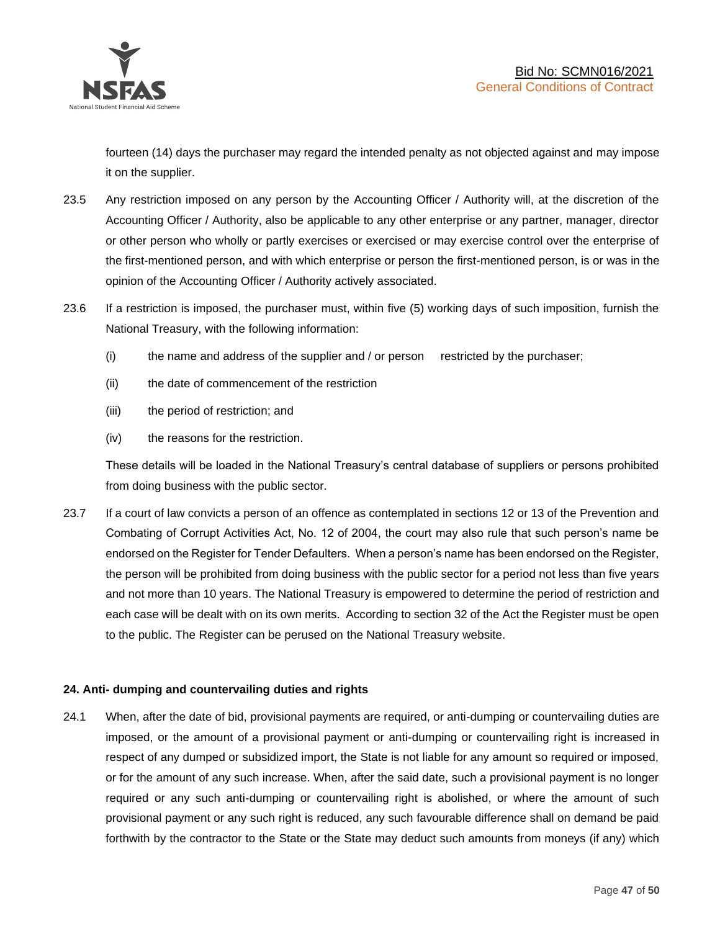

fourteen (14) days the purchaser may regard the intended penalty as not objected against and may impose it on the supplier.

- 23.5 Any restriction imposed on any person by the Accounting Officer / Authority will, at the discretion of the Accounting Officer / Authority, also be applicable to any other enterprise or any partner, manager, director or other person who wholly or partly exercises or exercised or may exercise control over the enterprise of the first-mentioned person, and with which enterprise or person the first-mentioned person, is or was in the opinion of the Accounting Officer / Authority actively associated.
- 23.6 If a restriction is imposed, the purchaser must, within five (5) working days of such imposition, furnish the National Treasury, with the following information:
	- (i) the name and address of the supplier and / or person restricted by the purchaser;
	- (ii) the date of commencement of the restriction
	- (iii) the period of restriction; and
	- (iv) the reasons for the restriction.

These details will be loaded in the National Treasury's central database of suppliers or persons prohibited from doing business with the public sector.

23.7 If a court of law convicts a person of an offence as contemplated in sections 12 or 13 of the Prevention and Combating of Corrupt Activities Act, No. 12 of 2004, the court may also rule that such person's name be endorsed on the Register for Tender Defaulters. When a person's name has been endorsed on the Register, the person will be prohibited from doing business with the public sector for a period not less than five years and not more than 10 years. The National Treasury is empowered to determine the period of restriction and each case will be dealt with on its own merits. According to section 32 of the Act the Register must be open to the public. The Register can be perused on the National Treasury website.

### **24. Anti- dumping and countervailing duties and rights**

24.1 When, after the date of bid, provisional payments are required, or anti-dumping or countervailing duties are imposed, or the amount of a provisional payment or anti-dumping or countervailing right is increased in respect of any dumped or subsidized import, the State is not liable for any amount so required or imposed, or for the amount of any such increase. When, after the said date, such a provisional payment is no longer required or any such anti-dumping or countervailing right is abolished, or where the amount of such provisional payment or any such right is reduced, any such favourable difference shall on demand be paid forthwith by the contractor to the State or the State may deduct such amounts from moneys (if any) which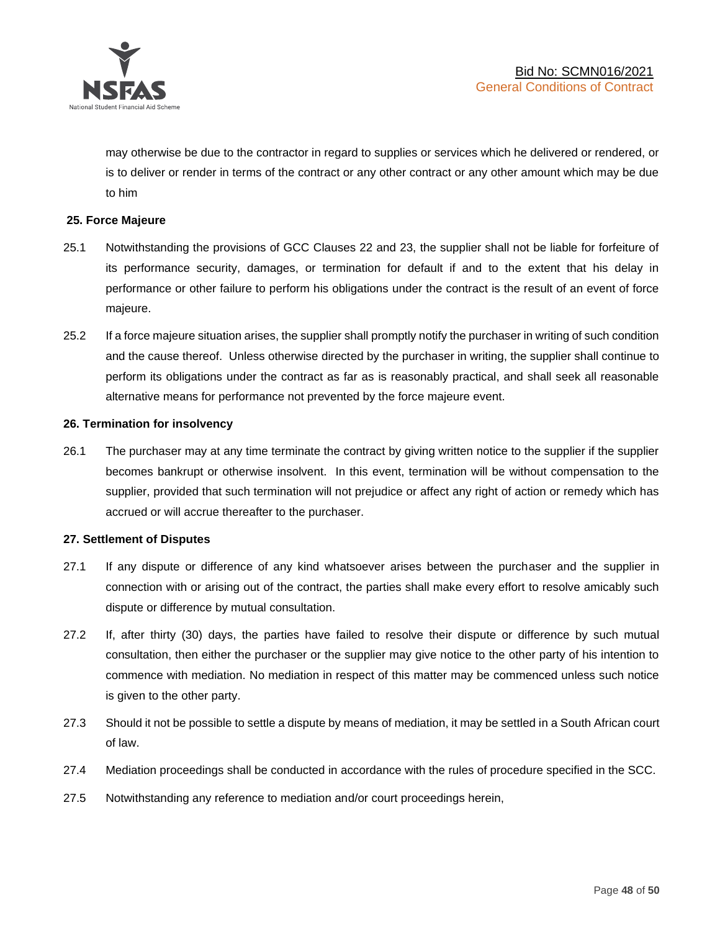

may otherwise be due to the contractor in regard to supplies or services which he delivered or rendered, or is to deliver or render in terms of the contract or any other contract or any other amount which may be due to him

### **25. Force Majeure**

- 25.1 Notwithstanding the provisions of GCC Clauses 22 and 23, the supplier shall not be liable for forfeiture of its performance security, damages, or termination for default if and to the extent that his delay in performance or other failure to perform his obligations under the contract is the result of an event of force majeure.
- 25.2 If a force majeure situation arises, the supplier shall promptly notify the purchaser in writing of such condition and the cause thereof. Unless otherwise directed by the purchaser in writing, the supplier shall continue to perform its obligations under the contract as far as is reasonably practical, and shall seek all reasonable alternative means for performance not prevented by the force majeure event.

#### **26. Termination for insolvency**

26.1 The purchaser may at any time terminate the contract by giving written notice to the supplier if the supplier becomes bankrupt or otherwise insolvent. In this event, termination will be without compensation to the supplier, provided that such termination will not prejudice or affect any right of action or remedy which has accrued or will accrue thereafter to the purchaser.

#### **27. Settlement of Disputes**

- 27.1 If any dispute or difference of any kind whatsoever arises between the purchaser and the supplier in connection with or arising out of the contract, the parties shall make every effort to resolve amicably such dispute or difference by mutual consultation.
- 27.2 If, after thirty (30) days, the parties have failed to resolve their dispute or difference by such mutual consultation, then either the purchaser or the supplier may give notice to the other party of his intention to commence with mediation. No mediation in respect of this matter may be commenced unless such notice is given to the other party.
- 27.3 Should it not be possible to settle a dispute by means of mediation, it may be settled in a South African court of law.
- 27.4 Mediation proceedings shall be conducted in accordance with the rules of procedure specified in the SCC.
- 27.5 Notwithstanding any reference to mediation and/or court proceedings herein,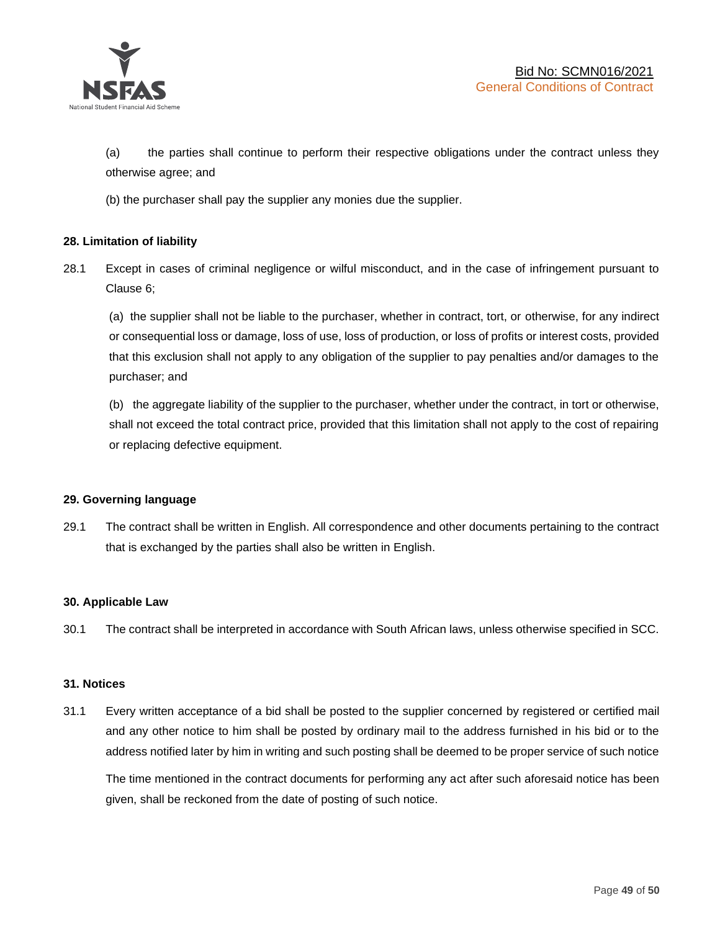

(a) the parties shall continue to perform their respective obligations under the contract unless they otherwise agree; and

(b) the purchaser shall pay the supplier any monies due the supplier.

### **28. Limitation of liability**

28.1 Except in cases of criminal negligence or wilful misconduct, and in the case of infringement pursuant to Clause 6;

(a) the supplier shall not be liable to the purchaser, whether in contract, tort, or otherwise, for any indirect or consequential loss or damage, loss of use, loss of production, or loss of profits or interest costs, provided that this exclusion shall not apply to any obligation of the supplier to pay penalties and/or damages to the purchaser; and

(b) the aggregate liability of the supplier to the purchaser, whether under the contract, in tort or otherwise, shall not exceed the total contract price, provided that this limitation shall not apply to the cost of repairing or replacing defective equipment.

### **29. Governing language**

29.1 The contract shall be written in English. All correspondence and other documents pertaining to the contract that is exchanged by the parties shall also be written in English.

### **30. Applicable Law**

30.1 The contract shall be interpreted in accordance with South African laws, unless otherwise specified in SCC.

### **31. Notices**

31.1 Every written acceptance of a bid shall be posted to the supplier concerned by registered or certified mail and any other notice to him shall be posted by ordinary mail to the address furnished in his bid or to the address notified later by him in writing and such posting shall be deemed to be proper service of such notice

The time mentioned in the contract documents for performing any act after such aforesaid notice has been given, shall be reckoned from the date of posting of such notice.